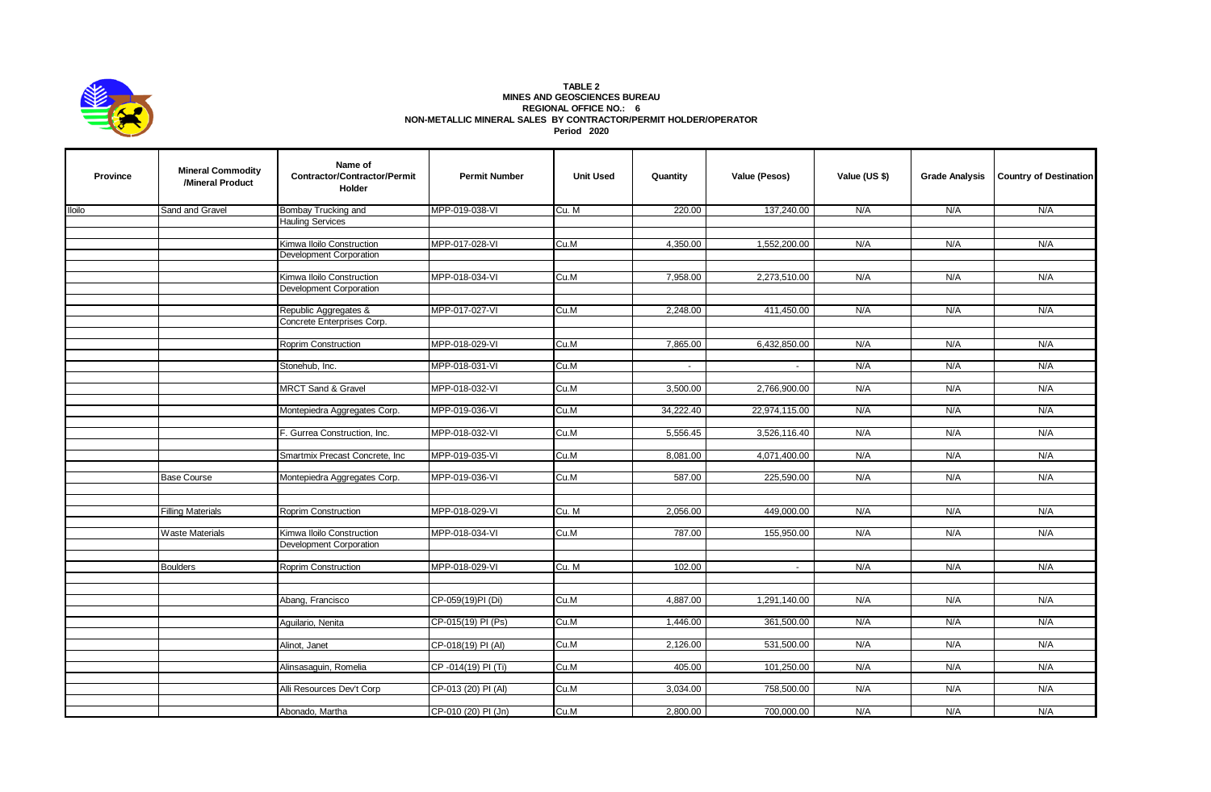

## **TABLE 2 MINES AND GEOSCIENCES BUREAU REGIONAL OFFICE NO.: 6 NON-METALLIC MINERAL SALES BY CONTRACTOR/PERMIT HOLDER/OPERATOR Period 2020**

| <b>Province</b> | <b>Mineral Commodity</b><br>/Mineral Product | Name of<br>Contractor/Contractor/Permit<br>Holder    | <b>Permit Number</b> | <b>Unit Used</b> | Quantity       | Value (Pesos) | Value (US \$) | <b>Grade Analysis</b> | <b>Country of Destination</b> |
|-----------------|----------------------------------------------|------------------------------------------------------|----------------------|------------------|----------------|---------------|---------------|-----------------------|-------------------------------|
| <b>Iloilo</b>   | Sand and Gravel                              | Bombay Trucking and                                  | MPP-019-038-VI       | Cu. M            | 220.00         | 137,240.00    | N/A           | N/A                   | N/A                           |
|                 |                                              | <b>Hauling Services</b>                              |                      |                  |                |               |               |                       |                               |
|                 |                                              |                                                      |                      |                  |                |               |               |                       |                               |
|                 |                                              | Kimwa Iloilo Construction                            | MPP-017-028-VI       | Cu.M             | 4,350.00       | 1,552,200.00  | N/A           | N/A                   | N/A                           |
|                 |                                              | Development Corporation                              |                      |                  |                |               |               |                       |                               |
|                 |                                              |                                                      |                      |                  |                |               |               |                       |                               |
|                 |                                              | Kimwa Iloilo Construction                            | MPP-018-034-VI       | Cu.M             | 7,958.00       | 2,273,510.00  | N/A           | N/A                   | N/A                           |
|                 |                                              | <b>Development Corporation</b>                       |                      |                  |                |               |               |                       |                               |
|                 |                                              | Republic Aggregates &                                | MPP-017-027-VI       | Cu.M             | 2,248.00       | 411,450.00    | N/A           | N/A                   | N/A                           |
|                 |                                              | Concrete Enterprises Corp.                           |                      |                  |                |               |               |                       |                               |
|                 |                                              |                                                      |                      |                  |                |               |               |                       |                               |
|                 |                                              | Roprim Construction                                  | MPP-018-029-VI       | Cu.M             | 7,865.00       | 6,432,850.00  | N/A           | N/A                   | N/A                           |
|                 |                                              |                                                      |                      |                  |                |               |               |                       |                               |
|                 |                                              | Stonehub, Inc.                                       | MPP-018-031-VI       | Cu.M             | $\blacksquare$ | $\sim$        | N/A           | N/A                   | N/A                           |
|                 |                                              |                                                      |                      |                  |                |               |               |                       |                               |
|                 |                                              | <b>MRCT Sand &amp; Gravel</b>                        | MPP-018-032-VI       | Cu.M             | 3,500.00       | 2,766,900.00  | N/A           | N/A                   | N/A                           |
|                 |                                              |                                                      |                      |                  |                |               |               |                       |                               |
|                 |                                              | Montepiedra Aggregates Corp.                         | MPP-019-036-VI       | Cu.M             | 34,222.40      | 22,974,115.00 | N/A           | N/A                   | N/A                           |
|                 |                                              |                                                      |                      |                  |                |               |               |                       |                               |
|                 |                                              | F. Gurrea Construction, Inc.                         | MPP-018-032-VI       | Cu.M             | 5,556.45       | 3,526,116.40  | N/A           | N/A                   | N/A                           |
|                 |                                              |                                                      |                      |                  |                |               |               |                       |                               |
|                 |                                              | Smartmix Precast Concrete, Inc                       | MPP-019-035-VI       | Cu.M             | 8,081.00       | 4,071,400.00  | N/A           | N/A                   | N/A                           |
|                 |                                              |                                                      |                      |                  |                |               |               |                       |                               |
|                 | <b>Base Course</b>                           | Montepiedra Aggregates Corp.                         | MPP-019-036-VI       | Cu.M             | 587.00         | 225,590.00    | N/A           | N/A                   | N/A                           |
|                 |                                              |                                                      |                      |                  |                |               |               |                       |                               |
|                 |                                              |                                                      |                      |                  |                |               |               |                       |                               |
|                 | <b>Filling Materials</b>                     | <b>Roprim Construction</b>                           | MPP-018-029-VI       | Cu. M            | 2,056.00       | 449,000.00    | N/A           | N/A                   | N/A                           |
|                 |                                              |                                                      |                      |                  |                |               | N/A           | N/A                   | N/A                           |
|                 | <b>Waste Materials</b>                       | Kimwa Iloilo Construction<br>Development Corporation | MPP-018-034-VI       | Cu.M             | 787.00         | 155,950.00    |               |                       |                               |
|                 |                                              |                                                      |                      |                  |                |               |               |                       |                               |
|                 | <b>Boulders</b>                              | <b>Roprim Construction</b>                           | MPP-018-029-VI       | Cu. M            | 102.00         | $\sim$        | N/A           | N/A                   | N/A                           |
|                 |                                              |                                                      |                      |                  |                |               |               |                       |                               |
|                 |                                              |                                                      |                      |                  |                |               |               |                       |                               |
|                 |                                              | Abang, Francisco                                     | CP-059(19)PI (Di)    | Cu.M             | 4,887.00       | 1,291,140.00  | N/A           | N/A                   | N/A                           |
|                 |                                              |                                                      |                      |                  |                |               |               |                       |                               |
|                 |                                              | Aquilario, Nenita                                    | CP-015(19) PI (Ps)   | Cu.M             | 1,446.00       | 361,500.00    | N/A           | N/A                   | N/A                           |
|                 |                                              |                                                      |                      |                  |                |               |               |                       |                               |
|                 |                                              | Alinot, Janet                                        | CP-018(19) PI (AI)   | Cu.M             | 2,126.00       | 531,500.00    | N/A           | N/A                   | N/A                           |
|                 |                                              |                                                      |                      |                  |                |               |               |                       |                               |
|                 |                                              | Alinsasaguin, Romelia                                | CP-014(19) PI (Ti)   | Cu.M             | 405.00         | 101,250.00    | N/A           | N/A                   | N/A                           |
|                 |                                              |                                                      |                      |                  |                |               |               |                       |                               |
|                 |                                              | Alli Resources Dev't Corp                            | CP-013 (20) PI (AI)  | Cu.M             | 3,034.00       | 758,500.00    | N/A           | N/A                   | N/A                           |
|                 |                                              |                                                      |                      |                  |                |               |               |                       |                               |
|                 |                                              | Abonado, Martha                                      | CP-010 (20) PI (Jn)  | Cu.M             | 2,800.00       | 700,000.00    | N/A           | N/A                   | N/A                           |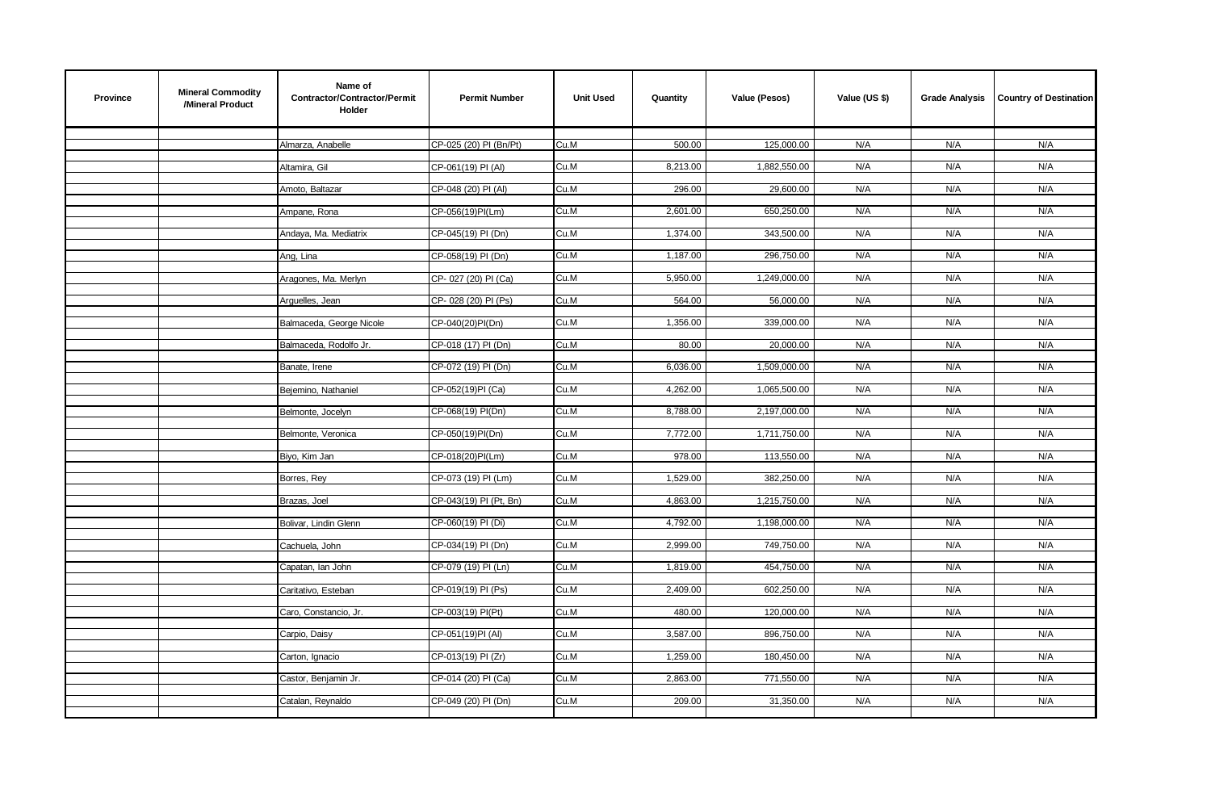| 500.00<br>125,000.00<br>CP-025 (20) PI (Bn/Pt)<br>Cu.M<br>N/A<br>N/A<br>N/A<br>Almarza, Anabelle<br>N/A<br>8,213.00<br>1,882,550.00<br>N/A<br>N/A<br>CP-061(19) PI (AI)<br>Cu.M<br>Altamira, Gil<br>CP-048 (20) PI (AI)<br>296.00<br>29,600.00<br>N/A<br>N/A<br>N/A<br>Amoto, Baltazar<br>Cu.M<br>Cu.M<br>2,601.00<br>650,250.00<br>N/A<br>N/A<br>N/A<br>Ampane, Rona<br>CP-056(19)PI(Lm)<br>343,500.00<br>N/A<br>N/A<br>Cu.M<br>1,374.00<br>N/A<br>Andaya, Ma. Mediatrix<br>CP-045(19) PI (Dn)<br>296,750.00<br>N/A<br>Cu.M<br>1,187.00<br>N/A<br>N/A<br>CP-058(19) PI (Dn)<br>Ang, Lina<br>5,950.00<br>1,249,000.00<br>N/A<br>N/A<br>N/A<br>Aragones, Ma. Merlyn<br>CP-027 (20) PI (Ca)<br>Cu.M<br>564.00<br>56,000.00<br>N/A<br>N/A<br>N/A<br>CP-028 (20) PI (Ps)<br>Cu.M<br>Arguelles, Jean<br>N/A<br>Cu.M<br>1,356.00<br>339,000.00<br>N/A<br>N/A<br>Balmaceda, George Nicole<br>CP-040(20)PI(Dn)<br>CP-018 (17) PI (Dn)<br>80.00<br>20,000.00<br>N/A<br>N/A<br>Cu.M<br>N/A<br>Balmaceda, Rodolfo Jr.<br>CP-072 (19) PI (Dn)<br>6,036.00<br>1,509,000.00<br>N/A<br>N/A<br>N/A<br>Banate, Irene<br>Cu.M<br>CP-052(19)PI (Ca)<br>Cu.M<br>4,262.00<br>1,065,500.00<br>N/A<br>N/A<br>N/A<br>Bejemino, Nathaniel<br>Cu.M<br>2,197,000.00<br>N/A<br>N/A<br>N/A<br>CP-068(19) PI(Dn)<br>8,788.00<br>Belmonte, Jocelyn<br>N/A<br>CP-050(19)PI(Dn)<br>Cu.M<br>7,772.00<br>1,711,750.00<br>N/A<br>N/A<br>Belmonte, Veronica<br>CP-018(20)PI(Lm)<br>978.00<br>113,550.00<br>N/A<br>N/A<br>Biyo, Kim Jan<br>Cu.M<br>N/A<br>1,529.00<br>N/A<br>N/A<br>CP-073 (19) PI (Lm)<br>Cu.M<br>382,250.00<br>N/A<br>Borres, Rey<br>4,863.00<br>1,215,750.00<br>CP-043(19) PI (Pt, Bn)<br>Cu.M<br>N/A<br>N/A<br>N/A<br>Brazas, Joel<br>4,792.00<br>1,198,000.00<br>N/A<br>N/A<br>CP-060(19) PI (Di)<br>Cu.M<br>N/A<br>Bolivar, Lindin Glenn<br>CP-034(19) PI (Dn)<br>Cu.M<br>2,999.00<br>749,750.00<br>N/A<br>N/A<br>N/A<br>Cachuela, John<br>Cu.M<br>1,819.00<br>454,750.00<br>N/A<br>N/A<br>N/A<br>Capatan, lan John<br>CP-079 (19) PI (Ln)<br>602,250.00<br>N/A<br>N/A<br>N/A |
|---------------------------------------------------------------------------------------------------------------------------------------------------------------------------------------------------------------------------------------------------------------------------------------------------------------------------------------------------------------------------------------------------------------------------------------------------------------------------------------------------------------------------------------------------------------------------------------------------------------------------------------------------------------------------------------------------------------------------------------------------------------------------------------------------------------------------------------------------------------------------------------------------------------------------------------------------------------------------------------------------------------------------------------------------------------------------------------------------------------------------------------------------------------------------------------------------------------------------------------------------------------------------------------------------------------------------------------------------------------------------------------------------------------------------------------------------------------------------------------------------------------------------------------------------------------------------------------------------------------------------------------------------------------------------------------------------------------------------------------------------------------------------------------------------------------------------------------------------------------------------------------------------------------------------------------------------------------------------------------------------------------------------------------------------------------|
|                                                                                                                                                                                                                                                                                                                                                                                                                                                                                                                                                                                                                                                                                                                                                                                                                                                                                                                                                                                                                                                                                                                                                                                                                                                                                                                                                                                                                                                                                                                                                                                                                                                                                                                                                                                                                                                                                                                                                                                                                                                               |
|                                                                                                                                                                                                                                                                                                                                                                                                                                                                                                                                                                                                                                                                                                                                                                                                                                                                                                                                                                                                                                                                                                                                                                                                                                                                                                                                                                                                                                                                                                                                                                                                                                                                                                                                                                                                                                                                                                                                                                                                                                                               |
|                                                                                                                                                                                                                                                                                                                                                                                                                                                                                                                                                                                                                                                                                                                                                                                                                                                                                                                                                                                                                                                                                                                                                                                                                                                                                                                                                                                                                                                                                                                                                                                                                                                                                                                                                                                                                                                                                                                                                                                                                                                               |
|                                                                                                                                                                                                                                                                                                                                                                                                                                                                                                                                                                                                                                                                                                                                                                                                                                                                                                                                                                                                                                                                                                                                                                                                                                                                                                                                                                                                                                                                                                                                                                                                                                                                                                                                                                                                                                                                                                                                                                                                                                                               |
|                                                                                                                                                                                                                                                                                                                                                                                                                                                                                                                                                                                                                                                                                                                                                                                                                                                                                                                                                                                                                                                                                                                                                                                                                                                                                                                                                                                                                                                                                                                                                                                                                                                                                                                                                                                                                                                                                                                                                                                                                                                               |
|                                                                                                                                                                                                                                                                                                                                                                                                                                                                                                                                                                                                                                                                                                                                                                                                                                                                                                                                                                                                                                                                                                                                                                                                                                                                                                                                                                                                                                                                                                                                                                                                                                                                                                                                                                                                                                                                                                                                                                                                                                                               |
|                                                                                                                                                                                                                                                                                                                                                                                                                                                                                                                                                                                                                                                                                                                                                                                                                                                                                                                                                                                                                                                                                                                                                                                                                                                                                                                                                                                                                                                                                                                                                                                                                                                                                                                                                                                                                                                                                                                                                                                                                                                               |
|                                                                                                                                                                                                                                                                                                                                                                                                                                                                                                                                                                                                                                                                                                                                                                                                                                                                                                                                                                                                                                                                                                                                                                                                                                                                                                                                                                                                                                                                                                                                                                                                                                                                                                                                                                                                                                                                                                                                                                                                                                                               |
|                                                                                                                                                                                                                                                                                                                                                                                                                                                                                                                                                                                                                                                                                                                                                                                                                                                                                                                                                                                                                                                                                                                                                                                                                                                                                                                                                                                                                                                                                                                                                                                                                                                                                                                                                                                                                                                                                                                                                                                                                                                               |
|                                                                                                                                                                                                                                                                                                                                                                                                                                                                                                                                                                                                                                                                                                                                                                                                                                                                                                                                                                                                                                                                                                                                                                                                                                                                                                                                                                                                                                                                                                                                                                                                                                                                                                                                                                                                                                                                                                                                                                                                                                                               |
|                                                                                                                                                                                                                                                                                                                                                                                                                                                                                                                                                                                                                                                                                                                                                                                                                                                                                                                                                                                                                                                                                                                                                                                                                                                                                                                                                                                                                                                                                                                                                                                                                                                                                                                                                                                                                                                                                                                                                                                                                                                               |
|                                                                                                                                                                                                                                                                                                                                                                                                                                                                                                                                                                                                                                                                                                                                                                                                                                                                                                                                                                                                                                                                                                                                                                                                                                                                                                                                                                                                                                                                                                                                                                                                                                                                                                                                                                                                                                                                                                                                                                                                                                                               |
|                                                                                                                                                                                                                                                                                                                                                                                                                                                                                                                                                                                                                                                                                                                                                                                                                                                                                                                                                                                                                                                                                                                                                                                                                                                                                                                                                                                                                                                                                                                                                                                                                                                                                                                                                                                                                                                                                                                                                                                                                                                               |
|                                                                                                                                                                                                                                                                                                                                                                                                                                                                                                                                                                                                                                                                                                                                                                                                                                                                                                                                                                                                                                                                                                                                                                                                                                                                                                                                                                                                                                                                                                                                                                                                                                                                                                                                                                                                                                                                                                                                                                                                                                                               |
|                                                                                                                                                                                                                                                                                                                                                                                                                                                                                                                                                                                                                                                                                                                                                                                                                                                                                                                                                                                                                                                                                                                                                                                                                                                                                                                                                                                                                                                                                                                                                                                                                                                                                                                                                                                                                                                                                                                                                                                                                                                               |
|                                                                                                                                                                                                                                                                                                                                                                                                                                                                                                                                                                                                                                                                                                                                                                                                                                                                                                                                                                                                                                                                                                                                                                                                                                                                                                                                                                                                                                                                                                                                                                                                                                                                                                                                                                                                                                                                                                                                                                                                                                                               |
|                                                                                                                                                                                                                                                                                                                                                                                                                                                                                                                                                                                                                                                                                                                                                                                                                                                                                                                                                                                                                                                                                                                                                                                                                                                                                                                                                                                                                                                                                                                                                                                                                                                                                                                                                                                                                                                                                                                                                                                                                                                               |
|                                                                                                                                                                                                                                                                                                                                                                                                                                                                                                                                                                                                                                                                                                                                                                                                                                                                                                                                                                                                                                                                                                                                                                                                                                                                                                                                                                                                                                                                                                                                                                                                                                                                                                                                                                                                                                                                                                                                                                                                                                                               |
|                                                                                                                                                                                                                                                                                                                                                                                                                                                                                                                                                                                                                                                                                                                                                                                                                                                                                                                                                                                                                                                                                                                                                                                                                                                                                                                                                                                                                                                                                                                                                                                                                                                                                                                                                                                                                                                                                                                                                                                                                                                               |
|                                                                                                                                                                                                                                                                                                                                                                                                                                                                                                                                                                                                                                                                                                                                                                                                                                                                                                                                                                                                                                                                                                                                                                                                                                                                                                                                                                                                                                                                                                                                                                                                                                                                                                                                                                                                                                                                                                                                                                                                                                                               |
|                                                                                                                                                                                                                                                                                                                                                                                                                                                                                                                                                                                                                                                                                                                                                                                                                                                                                                                                                                                                                                                                                                                                                                                                                                                                                                                                                                                                                                                                                                                                                                                                                                                                                                                                                                                                                                                                                                                                                                                                                                                               |
|                                                                                                                                                                                                                                                                                                                                                                                                                                                                                                                                                                                                                                                                                                                                                                                                                                                                                                                                                                                                                                                                                                                                                                                                                                                                                                                                                                                                                                                                                                                                                                                                                                                                                                                                                                                                                                                                                                                                                                                                                                                               |
|                                                                                                                                                                                                                                                                                                                                                                                                                                                                                                                                                                                                                                                                                                                                                                                                                                                                                                                                                                                                                                                                                                                                                                                                                                                                                                                                                                                                                                                                                                                                                                                                                                                                                                                                                                                                                                                                                                                                                                                                                                                               |
|                                                                                                                                                                                                                                                                                                                                                                                                                                                                                                                                                                                                                                                                                                                                                                                                                                                                                                                                                                                                                                                                                                                                                                                                                                                                                                                                                                                                                                                                                                                                                                                                                                                                                                                                                                                                                                                                                                                                                                                                                                                               |
|                                                                                                                                                                                                                                                                                                                                                                                                                                                                                                                                                                                                                                                                                                                                                                                                                                                                                                                                                                                                                                                                                                                                                                                                                                                                                                                                                                                                                                                                                                                                                                                                                                                                                                                                                                                                                                                                                                                                                                                                                                                               |
|                                                                                                                                                                                                                                                                                                                                                                                                                                                                                                                                                                                                                                                                                                                                                                                                                                                                                                                                                                                                                                                                                                                                                                                                                                                                                                                                                                                                                                                                                                                                                                                                                                                                                                                                                                                                                                                                                                                                                                                                                                                               |
|                                                                                                                                                                                                                                                                                                                                                                                                                                                                                                                                                                                                                                                                                                                                                                                                                                                                                                                                                                                                                                                                                                                                                                                                                                                                                                                                                                                                                                                                                                                                                                                                                                                                                                                                                                                                                                                                                                                                                                                                                                                               |
|                                                                                                                                                                                                                                                                                                                                                                                                                                                                                                                                                                                                                                                                                                                                                                                                                                                                                                                                                                                                                                                                                                                                                                                                                                                                                                                                                                                                                                                                                                                                                                                                                                                                                                                                                                                                                                                                                                                                                                                                                                                               |
| CP-019(19) PI (Ps)<br>Cu.M<br>2,409.00<br>Caritativo, Esteban                                                                                                                                                                                                                                                                                                                                                                                                                                                                                                                                                                                                                                                                                                                                                                                                                                                                                                                                                                                                                                                                                                                                                                                                                                                                                                                                                                                                                                                                                                                                                                                                                                                                                                                                                                                                                                                                                                                                                                                                 |
| CP-003(19) PI(Pt)<br>Cu.M<br>480.00<br>120,000.00<br>N/A<br>N/A<br>N/A<br>Caro, Constancio, Jr.                                                                                                                                                                                                                                                                                                                                                                                                                                                                                                                                                                                                                                                                                                                                                                                                                                                                                                                                                                                                                                                                                                                                                                                                                                                                                                                                                                                                                                                                                                                                                                                                                                                                                                                                                                                                                                                                                                                                                               |
| CP-051(19)PI (AI)<br>Cu.M<br>3,587.00<br>896,750.00<br>N/A<br>N/A<br>N/A<br>Carpio, Daisy                                                                                                                                                                                                                                                                                                                                                                                                                                                                                                                                                                                                                                                                                                                                                                                                                                                                                                                                                                                                                                                                                                                                                                                                                                                                                                                                                                                                                                                                                                                                                                                                                                                                                                                                                                                                                                                                                                                                                                     |
|                                                                                                                                                                                                                                                                                                                                                                                                                                                                                                                                                                                                                                                                                                                                                                                                                                                                                                                                                                                                                                                                                                                                                                                                                                                                                                                                                                                                                                                                                                                                                                                                                                                                                                                                                                                                                                                                                                                                                                                                                                                               |
| 1,259.00<br>180,450.00<br>N/A<br>N/A<br>CP-013(19) PI (Zr)<br>Cu.M<br>N/A<br>Carton, Ignacio                                                                                                                                                                                                                                                                                                                                                                                                                                                                                                                                                                                                                                                                                                                                                                                                                                                                                                                                                                                                                                                                                                                                                                                                                                                                                                                                                                                                                                                                                                                                                                                                                                                                                                                                                                                                                                                                                                                                                                  |
| CP-014 (20) PI (Ca)<br>2,863.00<br>771,550.00<br>N/A<br>N/A<br>N/A<br>Castor, Benjamin Jr.<br>Cu.M                                                                                                                                                                                                                                                                                                                                                                                                                                                                                                                                                                                                                                                                                                                                                                                                                                                                                                                                                                                                                                                                                                                                                                                                                                                                                                                                                                                                                                                                                                                                                                                                                                                                                                                                                                                                                                                                                                                                                            |
|                                                                                                                                                                                                                                                                                                                                                                                                                                                                                                                                                                                                                                                                                                                                                                                                                                                                                                                                                                                                                                                                                                                                                                                                                                                                                                                                                                                                                                                                                                                                                                                                                                                                                                                                                                                                                                                                                                                                                                                                                                                               |
| CP-049 (20) PI (Dn)<br>209.00<br>31,350.00<br>N/A<br>N/A<br>Catalan, Reynaldo<br>Cu.M<br>N/A                                                                                                                                                                                                                                                                                                                                                                                                                                                                                                                                                                                                                                                                                                                                                                                                                                                                                                                                                                                                                                                                                                                                                                                                                                                                                                                                                                                                                                                                                                                                                                                                                                                                                                                                                                                                                                                                                                                                                                  |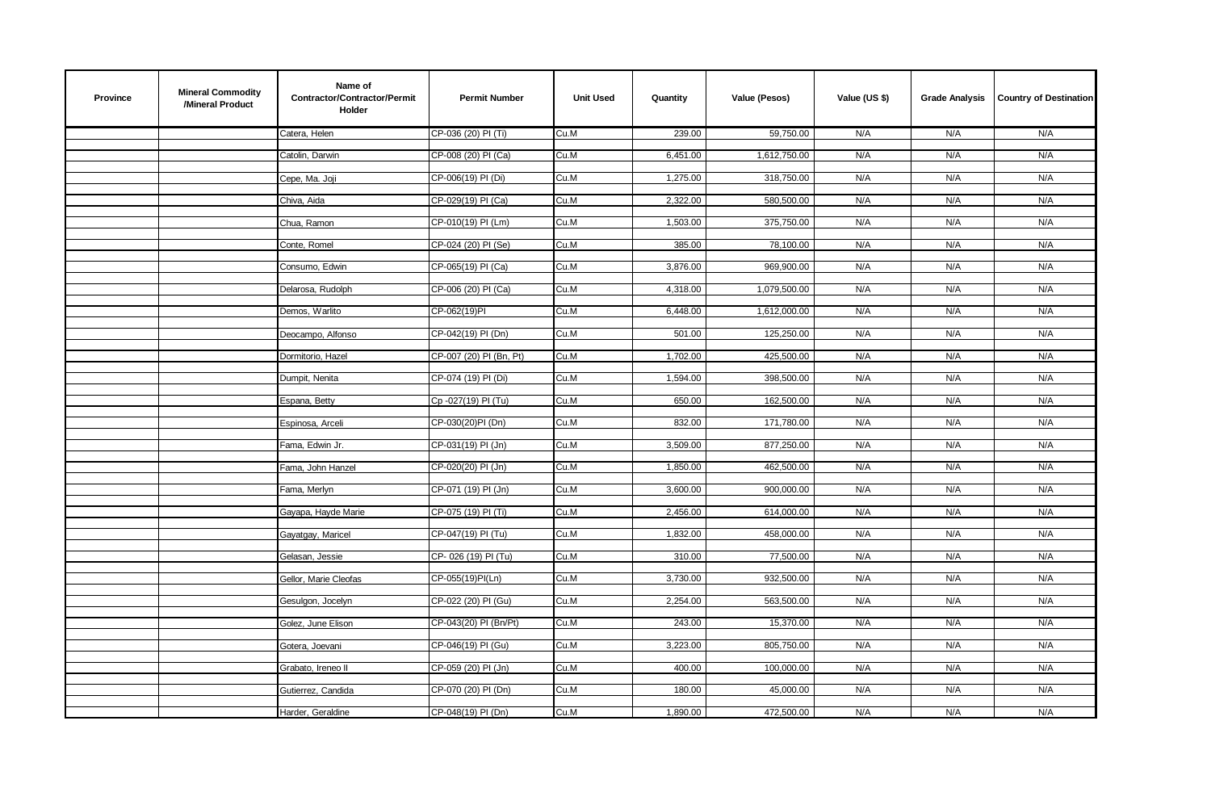| <b>Province</b> | <b>Mineral Commodity</b><br>/Mineral Product | Name of<br>Contractor/Contractor/Permit<br>Holder | <b>Permit Number</b>    | <b>Unit Used</b> | Quantity | Value (Pesos) | Value (US \$) | <b>Grade Analysis</b> | <b>Country of Destination</b> |
|-----------------|----------------------------------------------|---------------------------------------------------|-------------------------|------------------|----------|---------------|---------------|-----------------------|-------------------------------|
|                 |                                              | Catera, Helen                                     | CP-036 (20) PI (Ti)     | Cu.M             | 239.00   | 59,750.00     | N/A           | N/A                   | N/A                           |
|                 |                                              | Catolin, Darwin                                   | CP-008 (20) PI (Ca)     | Cu.M             | 6,451.00 | 1,612,750.00  | N/A           | N/A                   | N/A                           |
|                 |                                              | Cepe, Ma. Joji                                    | CP-006(19) PI (Di)      | Cu.M             | 1,275.00 | 318,750.00    | N/A           | N/A                   | N/A                           |
|                 |                                              |                                                   |                         |                  |          |               |               |                       |                               |
|                 |                                              | Chiva, Aida                                       | CP-029(19) PI (Ca)      | Cu.M             | 2,322.00 | 580,500.00    | N/A           | N/A                   | N/A                           |
|                 |                                              | Chua, Ramon                                       | CP-010(19) PI (Lm)      | Cu.M             | 1,503.00 | 375,750.00    | N/A           | N/A                   | N/A                           |
|                 |                                              | Conte, Romel                                      | CP-024 (20) PI (Se)     | Cu.M             | 385.00   | 78,100.00     | N/A           | N/A                   | N/A                           |
|                 |                                              | Consumo, Edwin                                    | CP-065(19) PI (Ca)      | Cu.M             | 3,876.00 | 969,900.00    | N/A           | N/A                   | N/A                           |
|                 |                                              | Delarosa, Rudolph                                 | CP-006 (20) PI (Ca)     | Cu.M             | 4,318.00 | 1,079,500.00  | N/A           | N/A                   | N/A                           |
|                 |                                              |                                                   |                         |                  |          |               |               |                       |                               |
|                 |                                              | Demos, Warlito                                    | CP-062(19)PI            | Cu.M             | 6,448.00 | 1,612,000.00  | N/A           | N/A                   | N/A                           |
|                 |                                              | Deocampo, Alfonso                                 | CP-042(19) PI (Dn)      | Cu.M             | 501.00   | 125,250.00    | N/A           | N/A                   | N/A                           |
|                 |                                              | Dormitorio, Hazel                                 | CP-007 (20) PI (Bn, Pt) | Cu.M             | 1,702.00 | 425,500.00    | N/A           | N/A                   | N/A                           |
|                 |                                              | Dumpit, Nenita                                    | CP-074 (19) PI (Di)     | Cu.M             | 1,594.00 | 398,500.00    | N/A           | N/A                   | N/A                           |
|                 |                                              | Espana, Betty                                     | Cp-027(19) PI (Tu)      | Cu.M             | 650.00   | 162,500.00    | N/A           | N/A                   | N/A                           |
|                 |                                              |                                                   |                         |                  |          |               |               |                       |                               |
|                 |                                              | Espinosa, Arceli                                  | CP-030(20)PI (Dn)       | Cu.M             | 832.00   | 171,780.00    | N/A           | N/A                   | N/A                           |
|                 |                                              | Fama, Edwin Jr.                                   | CP-031(19) PI (Jn)      | Cu.M             | 3,509.00 | 877,250.00    | N/A           | N/A                   | N/A                           |
|                 |                                              | Fama, John Hanzel                                 | CP-020(20) PI (Jn)      | Cu.M             | 1,850.00 | 462,500.00    | N/A           | N/A                   | N/A                           |
|                 |                                              | Fama, Merlyn                                      | CP-071 (19) PI (Jn)     | Cu.M             | 3,600.00 | 900,000.00    | N/A           | N/A                   | N/A                           |
|                 |                                              | Gayapa, Hayde Marie                               | CP-075 (19) PI (Ti)     | Cu.M             | 2,456.00 | 614,000.00    | N/A           | N/A                   | N/A                           |
|                 |                                              |                                                   |                         |                  |          |               |               |                       |                               |
|                 |                                              | Gayatgay, Maricel                                 | CP-047(19) PI (Tu)      | Cu.M             | 1,832.00 | 458,000.00    | N/A           | N/A                   | N/A                           |
|                 |                                              | Gelasan, Jessie                                   | CP-026 (19) PI (Tu)     | Cu.M             | 310.00   | 77,500.00     | N/A           | N/A                   | N/A                           |
|                 |                                              | Gellor, Marie Cleofas                             | CP-055(19)PI(Ln)        | Cu.M             | 3,730.00 | 932,500.00    | N/A           | N/A                   | N/A                           |
|                 |                                              | Gesulgon, Jocelyn                                 | CP-022 (20) PI (Gu)     | Cu.M             | 2,254.00 | 563,500.00    | N/A           | N/A                   | N/A                           |
|                 |                                              | Golez, June Elison                                | CP-043(20) PI (Bn/Pt)   | Cu.M             | 243.00   | 15,370.00     | N/A           | N/A                   | N/A                           |
|                 |                                              |                                                   |                         |                  |          |               |               |                       |                               |
|                 |                                              | Gotera, Joevani                                   | CP-046(19) PI (Gu)      | Cu.M             | 3,223.00 | 805,750.00    | N/A           | N/A                   | N/A                           |
|                 |                                              | Grabato, Ireneo II                                | CP-059 (20) PI (Jn)     | Cu.M             | 400.00   | 100,000.00    | N/A           | N/A                   | N/A                           |
|                 |                                              | Gutierrez, Candida                                | CP-070 (20) PI (Dn)     | Cu.M             | 180.00   | 45,000.00     | N/A           | N/A                   | N/A                           |
|                 |                                              | Harder, Geraldine                                 | CP-048(19) PI (Dn)      | Cu.M             | 1,890.00 | 472,500.00    | N/A           | N/A                   | N/A                           |
|                 |                                              |                                                   |                         |                  |          |               |               |                       |                               |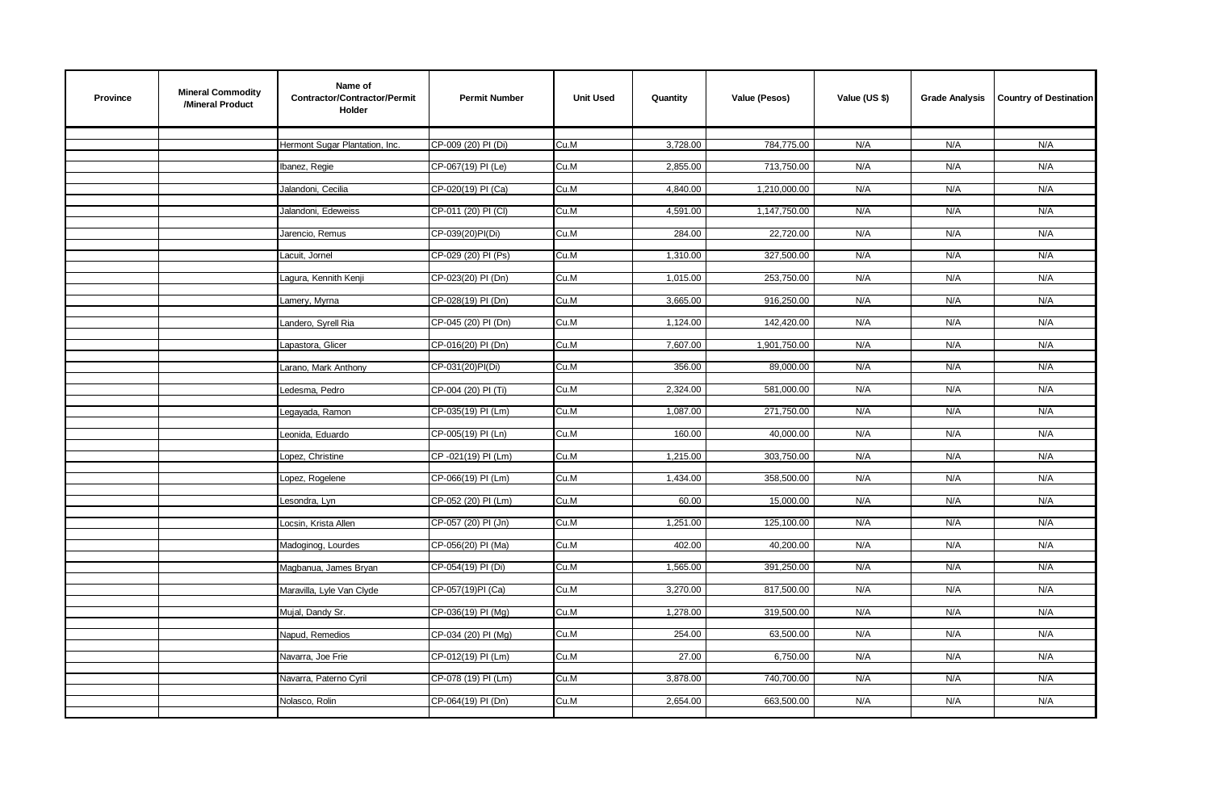| <b>Province</b> | <b>Mineral Commodity</b><br>/Mineral Product | Name of<br>Contractor/Contractor/Permit<br>Holder | <b>Permit Number</b> | <b>Unit Used</b> | Quantity | Value (Pesos) | Value (US \$) | <b>Grade Analysis</b> | <b>Country of Destination</b> |
|-----------------|----------------------------------------------|---------------------------------------------------|----------------------|------------------|----------|---------------|---------------|-----------------------|-------------------------------|
|                 |                                              | Hermont Sugar Plantation, Inc.                    | CP-009 (20) PI (Di)  | Cu.M             | 3,728.00 | 784,775.00    | N/A           | N/A                   | N/A                           |
|                 |                                              | Ibanez, Regie                                     | CP-067(19) PI (Le)   | Cu.M             | 2,855.00 | 713,750.00    | N/A           | N/A                   | N/A                           |
|                 |                                              | Jalandoni, Cecilia                                | CP-020(19) PI (Ca)   | Cu.M             | 4,840.00 | 1,210,000.00  | N/A           | N/A                   | N/A                           |
|                 |                                              | Jalandoni, Edeweiss                               | CP-011 (20) PI (CI)  | Cu.M             | 4,591.00 | 1,147,750.00  | N/A           | N/A                   | N/A                           |
|                 |                                              | Jarencio, Remus                                   | CP-039(20)PI(Di)     | Cu.M             | 284.00   | 22,720.00     | N/A           | N/A                   | N/A                           |
|                 |                                              | Lacuit, Jornel                                    | CP-029 (20) PI (Ps)  | Cu.M             | 1,310.00 | 327,500.00    | N/A           | N/A                   | N/A                           |
|                 |                                              | Lagura, Kennith Kenji                             | CP-023(20) PI (Dn)   | Cu.M             | 1,015.00 | 253,750.00    | N/A           | N/A                   | N/A                           |
|                 |                                              | Lamery, Myrna                                     | CP-028(19) PI (Dn)   | Cu.M             | 3,665.00 | 916,250.00    | N/A           | N/A                   | N/A                           |
|                 |                                              | Landero, Syrell Ria                               | CP-045 (20) PI (Dn)  | Cu.M             | 1,124.00 | 142,420.00    | N/A           | N/A                   | N/A                           |
|                 |                                              | Lapastora, Glicer                                 | CP-016(20) PI (Dn)   | Cu.M             | 7,607.00 | 1,901,750.00  | N/A           | N/A                   | N/A                           |
|                 |                                              | Larano, Mark Anthony                              | CP-031(20)PI(Di)     | Cu.M             | 356.00   | 89,000.00     | N/A           | N/A                   | N/A                           |
|                 |                                              | Ledesma, Pedro                                    | CP-004 (20) PI (Ti)  | Cu.M             | 2,324.00 | 581,000.00    | N/A           | N/A                   | N/A                           |
|                 |                                              | Legayada, Ramon                                   | CP-035(19) PI (Lm)   | Cu.M             | 1,087.00 | 271,750.00    | N/A           | N/A                   | N/A                           |
|                 |                                              | Leonida, Eduardo                                  | CP-005(19) PI (Ln)   | Cu.M             | 160.00   | 40,000.00     | N/A           | N/A                   | N/A                           |
|                 |                                              | Lopez, Christine                                  | CP-021(19) PI (Lm)   | Cu.M             | 1,215.00 | 303,750.00    | N/A           | N/A                   | N/A                           |
|                 |                                              | Lopez, Rogelene                                   | CP-066(19) PI (Lm)   | Cu.M             | 1,434.00 | 358,500.00    | N/A           | N/A                   | N/A                           |
|                 |                                              | Lesondra, Lyn                                     | CP-052 (20) PI (Lm)  | Cu.M             | 60.00    | 15,000.00     | N/A           | N/A                   | N/A                           |
|                 |                                              | Locsin, Krista Allen                              | CP-057 (20) PI (Jn)  | Cu.M             | 1,251.00 | 125,100.00    | N/A           | N/A                   | N/A                           |
|                 |                                              | Madoginog, Lourdes                                | CP-056(20) PI (Ma)   | Cu.M             | 402.00   | 40,200.00     | N/A           | N/A                   | N/A                           |
|                 |                                              | Magbanua, James Bryan                             | CP-054(19) PI (Di)   | Cu.M             | 1,565.00 | 391,250.00    | N/A           | N/A                   | N/A                           |
|                 |                                              | Maravilla, Lyle Van Clyde                         | CP-057(19)PI (Ca)    | Cu.M             | 3,270.00 | 817,500.00    | N/A           | N/A                   | N/A                           |
|                 |                                              | Mujal, Dandy Sr.                                  | CP-036(19) PI (Mg)   | Cu.M             | 1,278.00 | 319,500.00    | N/A           | N/A                   | N/A                           |
|                 |                                              | Napud, Remedios                                   | CP-034 (20) PI (Mg)  | Cu.M             | 254.00   | 63,500.00     | N/A           | N/A                   | N/A                           |
|                 |                                              | Navarra, Joe Frie                                 | CP-012(19) PI (Lm)   | Cu.M             | 27.00    | 6,750.00      | N/A           | N/A                   | N/A                           |
|                 |                                              | Navarra, Paterno Cyril                            | CP-078 (19) PI (Lm)  | Cu.M             | 3,878.00 | 740,700.00    | N/A           | N/A                   | N/A                           |
|                 |                                              | Nolasco, Rolin                                    | CP-064(19) PI (Dn)   | Cu.M             | 2,654.00 | 663,500.00    | N/A           | N/A                   | N/A                           |
|                 |                                              |                                                   |                      |                  |          |               |               |                       |                               |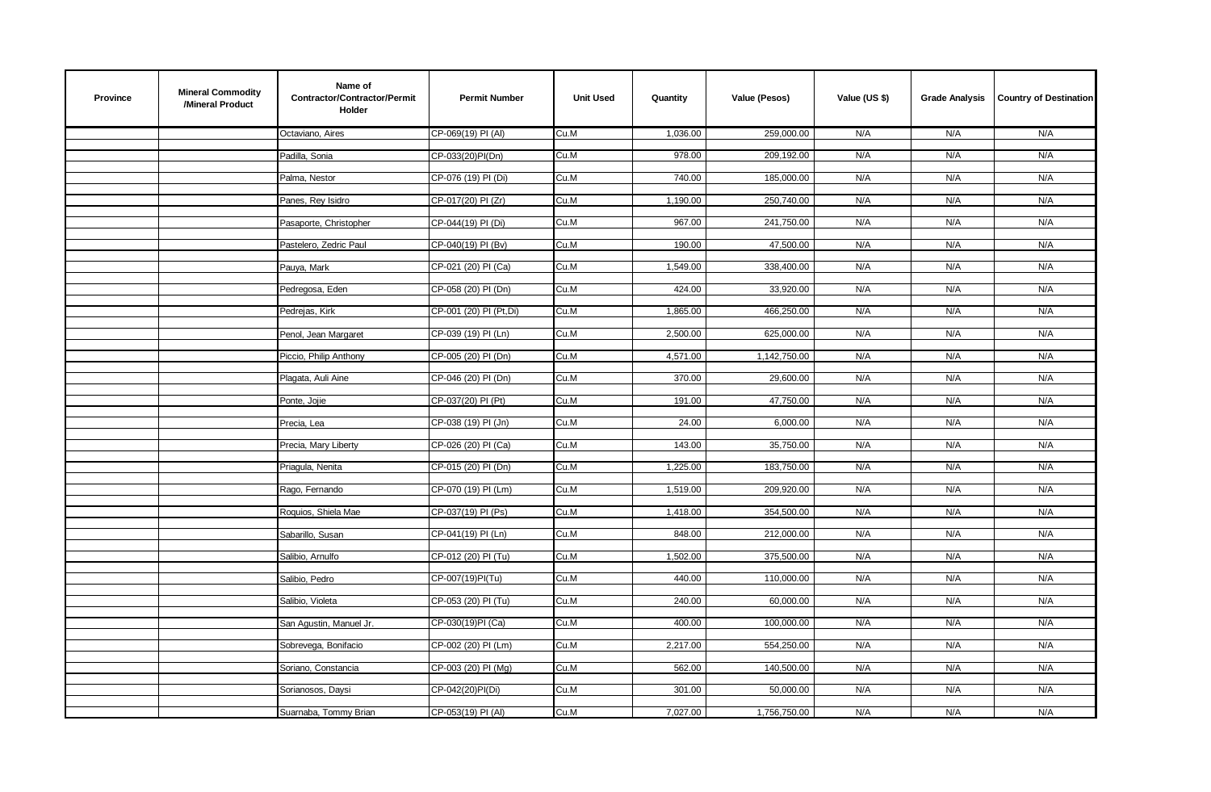| <b>Province</b> | <b>Mineral Commodity</b><br>/Mineral Product | Name of<br>Contractor/Contractor/Permit<br>Holder | <b>Permit Number</b>    | <b>Unit Used</b> | Quantity | Value (Pesos) | Value (US \$) | <b>Grade Analysis</b> | <b>Country of Destination</b> |
|-----------------|----------------------------------------------|---------------------------------------------------|-------------------------|------------------|----------|---------------|---------------|-----------------------|-------------------------------|
|                 |                                              | Octaviano. Aires                                  | CP-069(19) PI (AI)      | Cu.M             | 1,036.00 | 259,000.00    | N/A           | N/A                   | N/A                           |
|                 |                                              | Padilla, Sonia                                    | CP-033(20)PI(Dn)        | Cu.M             | 978.00   | 209,192.00    | N/A           | N/A                   | N/A                           |
|                 |                                              | Palma, Nestor                                     | CP-076 (19) PI (Di)     | Cu.M             | 740.00   | 185,000.00    | N/A           | N/A                   | N/A                           |
|                 |                                              |                                                   |                         |                  |          |               |               |                       |                               |
|                 |                                              | Panes, Rey Isidro                                 | CP-017(20) PI (Zr)      | Cu.M             | 1,190.00 | 250,740.00    | N/A           | N/A                   | N/A                           |
|                 |                                              | Pasaporte, Christopher                            | CP-044(19) PI (Di)      | Cu.M             | 967.00   | 241,750.00    | N/A           | N/A                   | N/A                           |
|                 |                                              | Pastelero, Zedric Paul                            | CP-040(19) PI (Bv)      | Cu.M             | 190.00   | 47,500.00     | N/A           | N/A                   | N/A                           |
|                 |                                              | Pauya, Mark                                       | CP-021 (20) PI (Ca)     | Cu.M             | 1,549.00 | 338,400.00    | N/A           | N/A                   | N/A                           |
|                 |                                              | Pedregosa, Eden                                   | CP-058 (20) PI (Dn)     | Cu.M             | 424.00   | 33,920.00     | N/A           | N/A                   | N/A                           |
|                 |                                              |                                                   |                         |                  |          |               |               |                       |                               |
|                 |                                              | Pedrejas, Kirk                                    | CP-001 (20) PI (Pt, Di) | Cu.M             | 1,865.00 | 466,250.00    | N/A           | N/A                   | N/A                           |
|                 |                                              | Penol, Jean Margaret                              | CP-039 (19) PI (Ln)     | Cu.M             | 2,500.00 | 625,000.00    | N/A           | N/A                   | N/A                           |
|                 |                                              | Piccio, Philip Anthony                            | CP-005 (20) PI (Dn)     | Cu.M             | 4,571.00 | 1,142,750.00  | N/A           | N/A                   | N/A                           |
|                 |                                              | Plagata, Auli Aine                                | CP-046 (20) PI (Dn)     | Cu.M             | 370.00   | 29,600.00     | N/A           | N/A                   | N/A                           |
|                 |                                              | Ponte, Jojie                                      | CP-037(20) PI (Pt)      | Cu.M             | 191.00   | 47,750.00     | N/A           | N/A                   | N/A                           |
|                 |                                              |                                                   |                         |                  |          |               |               |                       |                               |
|                 |                                              | Precia, Lea                                       | CP-038 (19) PI (Jn)     | Cu.M             | 24.00    | 6,000.00      | N/A           | N/A                   | N/A                           |
|                 |                                              | Precia, Mary Liberty                              | CP-026 (20) PI (Ca)     | Cu.M             | 143.00   | 35,750.00     | N/A           | N/A                   | N/A                           |
|                 |                                              | Priagula, Nenita                                  | CP-015 (20) PI (Dn)     | Cu.M             | 1,225.00 | 183,750.00    | N/A           | N/A                   | N/A                           |
|                 |                                              | Rago, Fernando                                    | CP-070 (19) PI (Lm)     | Cu.M             | 1,519.00 | 209,920.00    | N/A           | N/A                   | N/A                           |
|                 |                                              | Roquios, Shiela Mae                               | CP-037(19) PI (Ps)      | Cu.M             | 1,418.00 | 354,500.00    | N/A           | N/A                   | N/A                           |
|                 |                                              |                                                   |                         |                  |          |               |               |                       |                               |
|                 |                                              | Sabarillo, Susan                                  | CP-041(19) PI (Ln)      | Cu.M             | 848.00   | 212,000.00    | N/A           | N/A                   | N/A                           |
|                 |                                              | Salibio, Arnulfo                                  | CP-012 (20) PI (Tu)     | Cu.M             | 1,502.00 | 375,500.00    | N/A           | N/A                   | N/A                           |
|                 |                                              | Salibio, Pedro                                    | CP-007(19)PI(Tu)        | Cu.M             | 440.00   | 110,000.00    | N/A           | N/A                   | N/A                           |
|                 |                                              | Salibio, Violeta                                  | CP-053 (20) PI (Tu)     | Cu.M             | 240.00   | 60,000.00     | N/A           | N/A                   | N/A                           |
|                 |                                              | San Agustin, Manuel Jr.                           | CP-030(19)PI (Ca)       | Cu.M             | 400.00   | 100,000.00    | N/A           | N/A                   | N/A                           |
|                 |                                              |                                                   |                         |                  |          |               |               |                       |                               |
|                 |                                              | Sobrevega, Bonifacio                              | CP-002 (20) PI (Lm)     | Cu.M             | 2,217.00 | 554,250.00    | N/A           | N/A                   | N/A                           |
|                 |                                              | Soriano, Constancia                               | CP-003 (20) PI (Mg)     | Cu.M             | 562.00   | 140,500.00    | N/A           | N/A                   | N/A                           |
|                 |                                              | Sorianosos, Daysi                                 | CP-042(20)PI(Di)        | Cu.M             | 301.00   | 50,000.00     | N/A           | N/A                   | N/A                           |
|                 |                                              | Suarnaba, Tommy Brian                             | CP-053(19) PI (AI)      | Cu.M             | 7,027.00 | 1,756,750.00  | N/A           | N/A                   | N/A                           |
|                 |                                              |                                                   |                         |                  |          |               |               |                       |                               |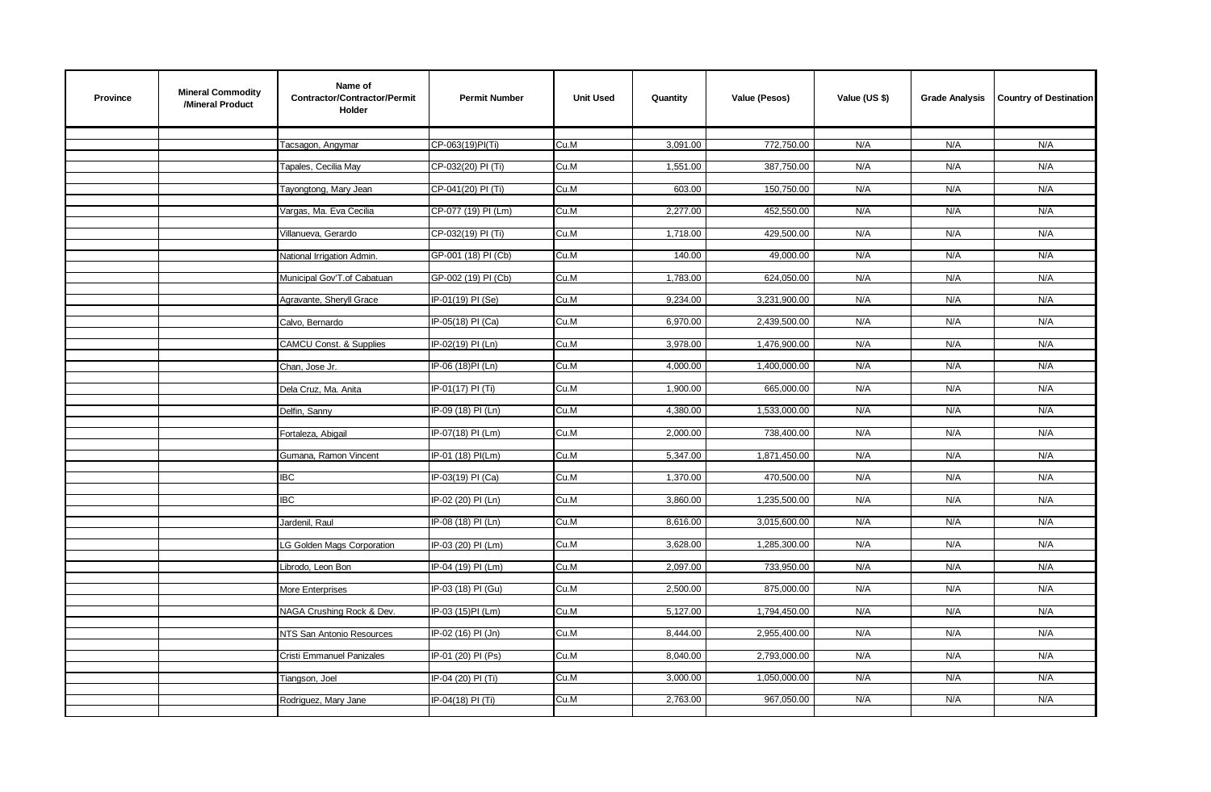| <b>Province</b> | <b>Mineral Commodity</b><br>/Mineral Product | Name of<br>Contractor/Contractor/Permit<br>Holder | <b>Permit Number</b> | <b>Unit Used</b> | Quantity | Value (Pesos) | Value (US \$) | <b>Grade Analysis</b> | <b>Country of Destination</b> |
|-----------------|----------------------------------------------|---------------------------------------------------|----------------------|------------------|----------|---------------|---------------|-----------------------|-------------------------------|
|                 |                                              | Tacsagon, Angymar                                 | CP-063(19)PI(Ti)     | Cu.M             | 3,091.00 | 772,750.00    | N/A           | N/A                   | N/A                           |
|                 |                                              | Tapales, Cecilia May                              | CP-032(20) PI (Ti)   | Cu.M             | 1,551.00 | 387,750.00    | N/A           | N/A                   | N/A                           |
|                 |                                              | Tayongtong, Mary Jean                             | CP-041(20) PI (Ti)   | Cu.M             | 603.00   | 150,750.00    | N/A           | N/A                   | N/A                           |
|                 |                                              | Vargas, Ma. Eva Cecilia                           | CP-077 (19) PI (Lm)  | Cu.M             | 2,277.00 | 452,550.00    | N/A           | N/A                   | N/A                           |
|                 |                                              | Villanueva, Gerardo                               | CP-032(19) PI (Ti)   | Cu.M             | 1,718.00 | 429,500.00    | N/A           | N/A                   | N/A                           |
|                 |                                              | National Irrigation Admin.                        | GP-001 (18) PI (Cb)  | Cu.M             | 140.00   | 49,000.00     | N/A           | N/A                   | N/A                           |
|                 |                                              | Municipal Gov'T.of Cabatuan                       | GP-002 (19) PI (Cb)  | Cu.M             | 1,783.00 | 624,050.00    | N/A           | N/A                   | N/A                           |
|                 |                                              | Agravante, Sheryll Grace                          | IP-01(19) PI (Se)    | Cu.M             | 9,234.00 | 3,231,900.00  | N/A           | N/A                   | N/A                           |
|                 |                                              | Calvo, Bernardo                                   | IP-05(18) PI (Ca)    | Cu.M             | 6,970.00 | 2,439,500.00  | N/A           | N/A                   | N/A                           |
|                 |                                              | <b>CAMCU Const. &amp; Supplies</b>                | IP-02(19) PI (Ln)    | Cu.M             | 3,978.00 | 1,476,900.00  | N/A           | N/A                   | N/A                           |
|                 |                                              | Chan, Jose Jr.                                    | IP-06 (18)PI (Ln)    | Cu.M             | 4,000.00 | 1,400,000.00  | N/A           | N/A                   | N/A                           |
|                 |                                              | Dela Cruz, Ma. Anita                              | IP-01(17) PI (Ti)    | Cu.M             | 1,900.00 | 665,000.00    | N/A           | N/A                   | N/A                           |
|                 |                                              | Delfin, Sanny                                     | IP-09 (18) PI (Ln)   | Cu.M             | 4,380.00 | 1,533,000.00  | N/A           | N/A                   | N/A                           |
|                 |                                              | Fortaleza, Abigail                                | IP-07(18) PI (Lm)    | Cu.M             | 2,000.00 | 738,400.00    | N/A           | N/A                   | N/A                           |
|                 |                                              | Gumana, Ramon Vincent                             | IP-01 (18) PI(Lm)    | Cu.M             | 5,347.00 | 1,871,450.00  | N/A           | N/A                   | N/A                           |
|                 |                                              | IBC                                               | IP-03(19) PI (Ca)    | Cu.M             | 1,370.00 | 470,500.00    | N/A           | N/A                   | N/A                           |
|                 |                                              | <b>IBC</b>                                        | IP-02 (20) PI (Ln)   | Cu.M             | 3,860.00 | 1,235,500.00  | N/A           | N/A                   | N/A                           |
|                 |                                              | Jardenil, Raul                                    | IP-08 (18) PI (Ln)   | Cu.M             | 8,616.00 | 3,015,600.00  | N/A           | N/A                   | N/A                           |
|                 |                                              | LG Golden Mags Corporation                        | IP-03 (20) PI (Lm)   | Cu.M             | 3,628.00 | 1,285,300.00  | N/A           | N/A                   | N/A                           |
|                 |                                              | Librodo, Leon Bon                                 | IP-04 (19) PI (Lm)   | Cu.M             | 2,097.00 | 733,950.00    | N/A           | N/A                   | N/A                           |
|                 |                                              | More Enterprises                                  | IP-03 (18) PI (Gu)   | Cu.M             | 2,500.00 | 875,000.00    | N/A           | N/A                   | N/A                           |
|                 |                                              | NAGA Crushing Rock & Dev.                         | IP-03 (15)PI (Lm)    | Cu.M             | 5,127.00 | 1,794,450.00  | N/A           | N/A                   | N/A                           |
|                 |                                              | NTS San Antonio Resources                         | IP-02 (16) PI (Jn)   | Cu.M             | 8,444.00 | 2,955,400.00  | N/A           | N/A                   | N/A                           |
|                 |                                              | Cristi Emmanuel Panizales                         | IP-01 (20) PI (Ps)   | Cu.M             | 8,040.00 | 2,793,000.00  | N/A           | N/A                   | N/A                           |
|                 |                                              | Tiangson, Joel                                    | IP-04 (20) PI (Ti)   | Cu.M             | 3,000.00 | 1,050,000.00  | N/A           | N/A                   | N/A                           |
|                 |                                              | Rodriguez, Mary Jane                              | IP-04(18) PI (Ti)    | Cu.M             | 2,763.00 | 967,050.00    | N/A           | N/A                   | N/A                           |
|                 |                                              |                                                   |                      |                  |          |               |               |                       |                               |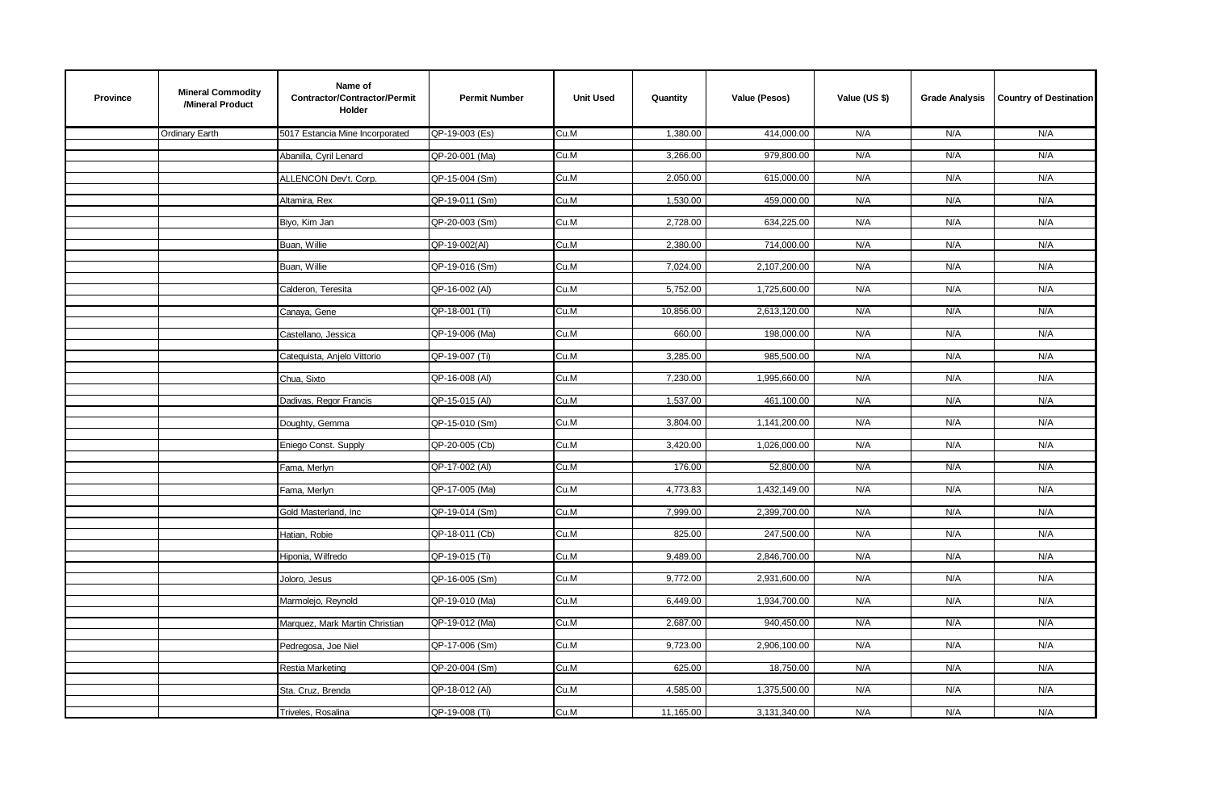| <b>Province</b> | <b>Mineral Commodity</b><br>/Mineral Product | Name of<br>Contractor/Contractor/Permit<br>Holder | <b>Permit Number</b> | <b>Unit Used</b> | Quantity  | Value (Pesos) | Value (US \$) | <b>Grade Analysis</b> | <b>Country of Destination</b> |
|-----------------|----------------------------------------------|---------------------------------------------------|----------------------|------------------|-----------|---------------|---------------|-----------------------|-------------------------------|
|                 | Ordinary Earth                               | 5017 Estancia Mine Incorporated                   | QP-19-003 (Es)       | Cu.M             | 1,380.00  | 414,000.00    | N/A           | N/A                   | N/A                           |
|                 |                                              | Abanilla, Cyril Lenard                            | QP-20-001 (Ma)       | Cu.M             | 3,266.00  | 979,800.00    | N/A           | N/A                   | N/A                           |
|                 |                                              | ALLENCON Dev't. Corp.                             | QP-15-004 (Sm)       | Cu.M             | 2,050.00  | 615,000.00    | N/A           | N/A                   | N/A                           |
|                 |                                              | Altamira, Rex                                     | QP-19-011 (Sm)       | Cu.M             | 1,530.00  | 459,000.00    | N/A           | N/A                   | N/A                           |
|                 |                                              |                                                   |                      |                  |           |               |               |                       |                               |
|                 |                                              | Biyo, Kim Jan                                     | QP-20-003 (Sm)       | Cu.M             | 2,728.00  | 634,225.00    | N/A           | N/A                   | N/A                           |
|                 |                                              | Buan, Willie                                      | QP-19-002(Al)        | Cu.M             | 2,380.00  | 714,000.00    | N/A           | N/A                   | N/A                           |
|                 |                                              | Buan, Willie                                      | QP-19-016 (Sm)       | Cu.M             | 7,024.00  | 2,107,200.00  | N/A           | N/A                   | N/A                           |
|                 |                                              | Calderon, Teresita                                | QP-16-002 (AI)       | Cu.M             | 5,752.00  | 1,725,600.00  | N/A           | N/A                   | N/A                           |
|                 |                                              | Canaya, Gene                                      | QP-18-001 (Ti)       | Cu.M             | 10,856.00 | 2,613,120.00  | N/A           | N/A                   | N/A                           |
|                 |                                              | Castellano, Jessica                               | QP-19-006 (Ma)       | Cu.M             | 660.00    | 198,000.00    | N/A           | N/A                   | N/A                           |
|                 |                                              | Catequista, Anjelo Vittorio                       | QP-19-007 (Ti)       | Cu.M             | 3,285.00  | 985,500.00    | N/A           | N/A                   | N/A                           |
|                 |                                              |                                                   |                      |                  |           |               |               |                       |                               |
|                 |                                              | Chua, Sixto                                       | QP-16-008 (AI)       | Cu.M             | 7,230.00  | 1,995,660.00  | N/A           | N/A                   | N/A                           |
|                 |                                              | Dadivas, Regor Francis                            | QP-15-015 (AI)       | Cu.M             | 1,537.00  | 461,100.00    | N/A           | N/A                   | N/A                           |
|                 |                                              | Doughty, Gemma                                    | QP-15-010 (Sm)       | Cu.M             | 3,804.00  | 1,141,200.00  | N/A           | N/A                   | N/A                           |
|                 |                                              | Eniego Const. Supply                              | QP-20-005 (Cb)       | Cu.M             | 3,420.00  | 1,026,000.00  | N/A           | N/A                   | N/A                           |
|                 |                                              | Fama, Merlyn                                      | QP-17-002 (AI)       | Cu.M             | 176.00    | 52,800.00     | N/A           | N/A                   | N/A                           |
|                 |                                              | Fama, Merlyn                                      | QP-17-005 (Ma)       | Cu.M             | 4,773.83  | 1,432,149.00  | N/A           | N/A                   | N/A                           |
|                 |                                              |                                                   |                      |                  |           |               |               |                       |                               |
|                 |                                              | Gold Masterland, Inc                              | QP-19-014 (Sm)       | Cu.M             | 7,999.00  | 2,399,700.00  | N/A           | N/A                   | N/A                           |
|                 |                                              | Hatian, Robie                                     | QP-18-011 (Cb)       | Cu.M             | 825.00    | 247,500.00    | N/A           | N/A                   | N/A                           |
|                 |                                              | Hiponia, Wilfredo                                 | QP-19-015 (Ti)       | Cu.M             | 9,489.00  | 2,846,700.00  | N/A           | N/A                   | N/A                           |
|                 |                                              | Joloro, Jesus                                     | QP-16-005 (Sm)       | Cu.M             | 9,772.00  | 2,931,600.00  | N/A           | N/A                   | N/A                           |
|                 |                                              | Marmolejo, Reynold                                | QP-19-010 (Ma)       | Cu.M             | 6,449.00  | 1,934,700.00  | N/A           | N/A                   | N/A                           |
|                 |                                              | Marquez, Mark Martin Christian                    | QP-19-012 (Ma)       | Cu.M             | 2,687.00  | 940,450.00    | N/A           | N/A                   | N/A                           |
|                 |                                              |                                                   |                      |                  |           |               |               |                       |                               |
|                 |                                              | Pedregosa, Joe Niel                               | QP-17-006 (Sm)       | Cu.M             | 9,723.00  | 2,906,100.00  | N/A           | N/A                   | N/A                           |
|                 |                                              | Restia Marketing                                  | QP-20-004 (Sm)       | Cu.M             | 625.00    | 18,750.00     | N/A           | N/A                   | N/A                           |
|                 |                                              | Sta. Cruz, Brenda                                 | QP-18-012 (AI)       | Cu.M             | 4,585.00  | 1,375,500.00  | N/A           | N/A                   | N/A                           |
|                 |                                              | Triveles, Rosalina                                | QP-19-008 (Ti)       | Cu.M             | 11,165.00 | 3,131,340.00  | N/A           | N/A                   | N/A                           |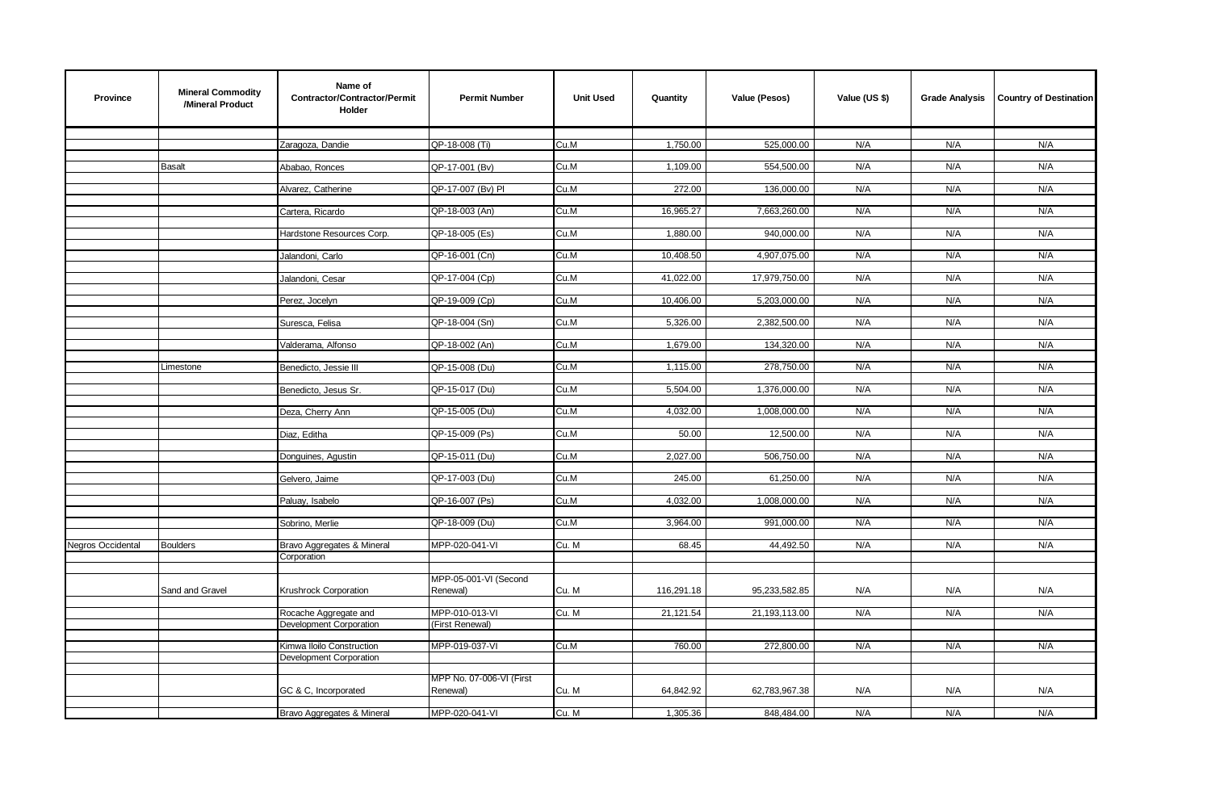| Province          | <b>Mineral Commodity</b><br>/Mineral Product | Name of<br><b>Contractor/Contractor/Permit</b><br>Holder | <b>Permit Number</b>              | <b>Unit Used</b> | Quantity   | Value (Pesos) | Value (US \$) | <b>Grade Analysis</b> | <b>Country of Destination</b> |
|-------------------|----------------------------------------------|----------------------------------------------------------|-----------------------------------|------------------|------------|---------------|---------------|-----------------------|-------------------------------|
|                   |                                              |                                                          |                                   |                  |            |               |               |                       |                               |
|                   |                                              | Zaragoza, Dandie                                         | QP-18-008 (Ti)                    | Cu.M             | 1,750.00   | 525,000.00    | N/A           | N/A                   | N/A                           |
|                   | <b>Basalt</b>                                | Ababao, Ronces                                           | QP-17-001 (Bv)                    | Cu.M             | 1,109.00   | 554,500.00    | N/A           | N/A                   | N/A                           |
|                   |                                              | Alvarez, Catherine                                       | QP-17-007 (Bv) PI                 | Cu.M             | 272.00     | 136,000.00    | N/A           | N/A                   | N/A                           |
|                   |                                              |                                                          |                                   |                  |            |               |               |                       |                               |
|                   |                                              | Cartera, Ricardo                                         | QP-18-003 (An)                    | Cu.M             | 16,965.27  | 7,663,260.00  | N/A           | N/A                   | N/A                           |
|                   |                                              | Hardstone Resources Corp.                                | QP-18-005 (Es)                    | Cu.M             | 1,880.00   | 940,000.00    | N/A           | N/A                   | N/A                           |
|                   |                                              |                                                          |                                   |                  |            |               |               |                       |                               |
|                   |                                              | Jalandoni, Carlo                                         | QP-16-001 (Cn)                    | Cu.M             | 10,408.50  | 4,907,075.00  | N/A           | N/A                   | N/A                           |
|                   |                                              | Jalandoni, Cesar                                         | QP-17-004 (Cp)                    | Cu.M             | 41,022.00  | 17,979,750.00 | N/A           | N/A                   | N/A                           |
|                   |                                              |                                                          | QP-19-009 (Cp)                    | Cu.M             | 10,406.00  | 5,203,000.00  | N/A           | N/A                   | N/A                           |
|                   |                                              | Perez, Jocelyn                                           |                                   |                  |            |               |               |                       |                               |
|                   |                                              | Suresca, Felisa                                          | QP-18-004 (Sn)                    | Cu.M             | 5,326.00   | 2,382,500.00  | N/A           | N/A                   | N/A                           |
|                   |                                              | Valderama, Alfonso                                       | QP-18-002 (An)                    | Cu.M             | 1,679.00   | 134,320.00    | N/A           | N/A                   | N/A                           |
|                   |                                              |                                                          |                                   |                  |            |               |               |                       |                               |
|                   | Limestone                                    | Benedicto, Jessie III                                    | QP-15-008 (Du)                    | Cu.M             | 1,115.00   | 278,750.00    | N/A           | N/A                   | N/A                           |
|                   |                                              | Benedicto, Jesus Sr.                                     | QP-15-017 (Du)                    | Cu.M             | 5,504.00   | 1,376,000.00  | N/A           | N/A                   | N/A                           |
|                   |                                              |                                                          |                                   |                  |            |               |               |                       |                               |
|                   |                                              | Deza, Cherry Ann                                         | QP-15-005 (Du)                    | Cu.M             | 4,032.00   | 1,008,000.00  | N/A           | N/A                   | N/A                           |
|                   |                                              | Diaz, Editha                                             | QP-15-009 (Ps)                    | Cu.M             | 50.00      | 12,500.00     | N/A           | N/A                   | N/A                           |
|                   |                                              |                                                          |                                   |                  |            |               | N/A           | N/A                   | N/A                           |
|                   |                                              | Donguines, Agustin                                       | QP-15-011 (Du)                    | Cu.M             | 2,027.00   | 506,750.00    |               |                       |                               |
|                   |                                              | Gelvero, Jaime                                           | QP-17-003 (Du)                    | Cu.M             | 245.00     | 61,250.00     | N/A           | N/A                   | N/A                           |
|                   |                                              | Paluay, Isabelo                                          | QP-16-007 (Ps)                    | Cu.M             | 4,032.00   | 1,008,000.00  | N/A           | N/A                   | N/A                           |
|                   |                                              |                                                          |                                   |                  |            |               |               |                       |                               |
|                   |                                              | Sobrino, Merlie                                          | QP-18-009 (Du)                    | Cu.M             | 3,964.00   | 991,000.00    | N/A           | N/A                   | N/A                           |
| Negros Occidental | <b>Boulders</b>                              | Bravo Aggregates & Mineral                               | MPP-020-041-VI                    | Cu. M            | 68.45      | 44,492.50     | N/A           | N/A                   | N/A                           |
|                   |                                              | Corporation                                              |                                   |                  |            |               |               |                       |                               |
|                   |                                              |                                                          | MPP-05-001-VI (Second             |                  |            |               |               |                       |                               |
|                   | Sand and Gravel                              | Krushrock Corporation                                    | Renewal)                          | Cu. M            | 116,291.18 | 95,233,582.85 | N/A           | N/A                   | N/A                           |
|                   |                                              |                                                          |                                   |                  |            |               |               |                       |                               |
|                   |                                              | Rocache Aggregate and<br>Development Corporation         | MPP-010-013-VI<br>(First Renewal) | Cu. M            | 21,121.54  | 21,193,113.00 | N/A           | N/A                   | N/A                           |
|                   |                                              |                                                          |                                   |                  |            |               |               |                       |                               |
|                   |                                              | Kimwa Iloilo Construction                                | MPP-019-037-VI                    | Cu.M             | 760.00     | 272,800.00    | N/A           | N/A                   | N/A                           |
|                   |                                              | Development Corporation                                  |                                   |                  |            |               |               |                       |                               |
|                   |                                              |                                                          | MPP No. 07-006-VI (First          |                  |            |               |               |                       |                               |
|                   |                                              | GC & C, Incorporated                                     | Renewal)                          | Cu. M            | 64,842.92  | 62,783,967.38 | N/A           | N/A                   | N/A                           |
|                   |                                              | Bravo Aggregates & Mineral                               | MPP-020-041-VI                    | Cu. M            | 1,305.36   | 848,484.00    | N/A           | N/A                   | N/A                           |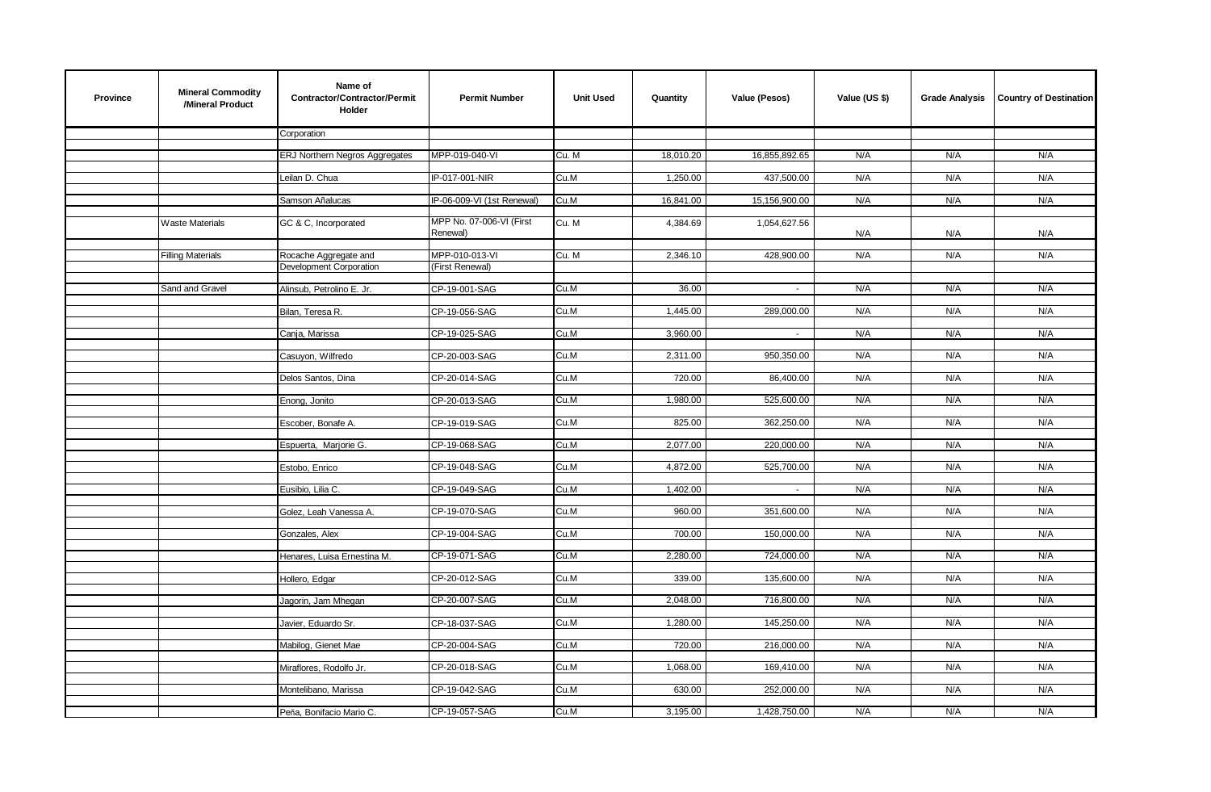| <b>Province</b> | <b>Mineral Commodity</b><br>/Mineral Product | Name of<br>Contractor/Contractor/Permit<br><b>Holder</b> | <b>Permit Number</b>                 | <b>Unit Used</b> | Quantity  | Value (Pesos) | Value (US \$) | <b>Grade Analysis</b> | <b>Country of Destination</b> |
|-----------------|----------------------------------------------|----------------------------------------------------------|--------------------------------------|------------------|-----------|---------------|---------------|-----------------------|-------------------------------|
|                 |                                              | Corporation                                              |                                      |                  |           |               |               |                       |                               |
|                 |                                              | ERJ Northern Negros Aggregates                           | MPP-019-040-VI                       | Cu. M            | 18,010.20 | 16,855,892.65 | N/A           | N/A                   | N/A                           |
|                 |                                              | Leilan D. Chua                                           | IP-017-001-NIR                       | Cu.M             | 1,250.00  | 437,500.00    | N/A           | N/A                   | N/A                           |
|                 |                                              | Samson Añalucas                                          | IP-06-009-VI (1st Renewal)           | Cu.M             | 16,841.00 | 15,156,900.00 | N/A           | N/A                   | N/A                           |
|                 |                                              |                                                          |                                      |                  |           |               |               |                       |                               |
|                 | <b>Waste Materials</b>                       | GC & C, Incorporated                                     | MPP No. 07-006-VI (First<br>Renewal) | Cu. M            | 4,384.69  | 1,054,627.56  | N/A           | N/A                   | N/A                           |
|                 | <b>Filling Materials</b>                     | Rocache Aggregate and                                    | MPP-010-013-VI                       | Cu. M            | 2,346.10  | 428,900.00    | N/A           | N/A                   | N/A                           |
|                 |                                              | Development Corporation                                  | (First Renewal)                      |                  |           |               |               |                       |                               |
|                 |                                              |                                                          |                                      |                  |           |               |               |                       |                               |
|                 | Sand and Gravel                              | Alinsub, Petrolino E. Jr.                                | CP-19-001-SAG                        | Cu.M             | 36.00     | $\sim$        | N/A           | N/A                   | N/A                           |
|                 |                                              | Bilan, Teresa R.                                         | CP-19-056-SAG                        | Cu.M             | 1,445.00  | 289,000.00    | N/A           | N/A                   | N/A                           |
|                 |                                              | Canja, Marissa                                           | CP-19-025-SAG                        | Cu.M             | 3,960.00  | $\sim$        | N/A           | N/A                   | N/A                           |
|                 |                                              |                                                          |                                      |                  |           |               |               |                       |                               |
|                 |                                              | Casuyon, Wilfredo                                        | CP-20-003-SAG                        | Cu.M             | 2,311.00  | 950,350.00    | N/A           | N/A                   | N/A                           |
|                 |                                              | Delos Santos, Dina                                       | CP-20-014-SAG                        | Cu.M             | 720.00    | 86,400.00     | N/A           | N/A                   | N/A                           |
|                 |                                              |                                                          |                                      |                  |           |               |               |                       |                               |
|                 |                                              | Enong, Jonito                                            | CP-20-013-SAG                        | Cu.M             | 1,980.00  | 525,600.00    | N/A           | N/A                   | N/A                           |
|                 |                                              | Escober, Bonafe A.                                       | CP-19-019-SAG                        | Cu.M             | 825.00    | 362,250.00    | N/A           | N/A                   | N/A                           |
|                 |                                              | Espuerta, Marjorie G.                                    | CP-19-068-SAG                        | Cu.M             | 2,077.00  | 220,000.00    | N/A           | N/A                   | N/A                           |
|                 |                                              |                                                          |                                      |                  |           |               |               |                       |                               |
|                 |                                              | Estobo, Enrico                                           | CP-19-048-SAG                        | Cu.M             | 4,872.00  | 525,700.00    | N/A           | N/A                   | N/A                           |
|                 |                                              | Eusibio, Lilia C.                                        | CP-19-049-SAG                        | Cu.M             | 1,402.00  | $\sim$        | N/A           | N/A                   | N/A                           |
|                 |                                              | Golez, Leah Vanessa A.                                   | CP-19-070-SAG                        | Cu.M             | 960.00    | 351,600.00    | N/A           | N/A                   | N/A                           |
|                 |                                              |                                                          |                                      |                  |           |               |               |                       | N/A                           |
|                 |                                              | Gonzales, Alex                                           | CP-19-004-SAG                        | Cu.M             | 700.00    | 150,000.00    | N/A           | N/A                   |                               |
|                 |                                              | Henares, Luisa Ernestina M.                              | CP-19-071-SAG                        | Cu.M             | 2,280.00  | 724,000.00    | N/A           | N/A                   | N/A                           |
|                 |                                              | Hollero, Edgar                                           | CP-20-012-SAG                        | Cu.M             | 339.00    | 135,600.00    | N/A           | N/A                   | N/A                           |
|                 |                                              |                                                          |                                      |                  |           |               |               |                       |                               |
|                 |                                              | Jagorin, Jam Mhegan                                      | CP-20-007-SAG                        | Cu.M             | 2,048.00  | 716,800.00    | N/A           | N/A                   | N/A                           |
|                 |                                              | Javier, Eduardo Sr.                                      | CP-18-037-SAG                        | Cu.M             | 1,280.00  | 145,250.00    | N/A           | N/A                   | N/A                           |
|                 |                                              |                                                          |                                      |                  |           |               |               |                       |                               |
|                 |                                              | Mabilog, Gienet Mae                                      | CP-20-004-SAG                        | Cu.M             | 720.00    | 216,000.00    | N/A           | N/A                   | N/A                           |
|                 |                                              | Miraflores, Rodolfo Jr.                                  | CP-20-018-SAG                        | Cu.M             | 1,068.00  | 169,410.00    | N/A           | N/A                   | N/A                           |
|                 |                                              |                                                          |                                      |                  |           |               |               |                       |                               |
|                 |                                              | Montelibano, Marissa                                     | CP-19-042-SAG                        | Cu.M             | 630.00    | 252,000.00    | N/A           | N/A                   | N/A                           |
|                 |                                              | Peña, Bonifacio Mario C.                                 | CP-19-057-SAG                        | Cu.M             | 3,195.00  | 1,428,750.00  | N/A           | N/A                   | N/A                           |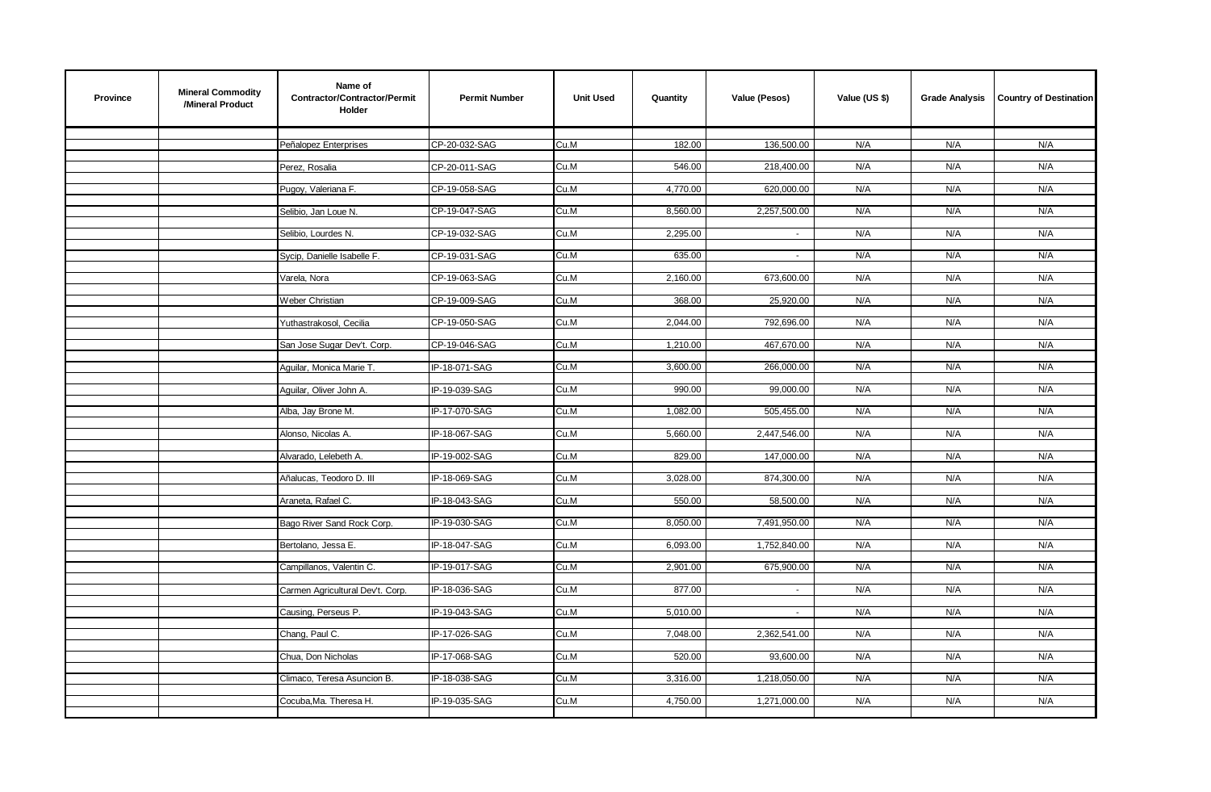| <b>Province</b> | <b>Mineral Commodity</b><br>/Mineral Product | Name of<br>Contractor/Contractor/Permit<br><b>Holder</b> | <b>Permit Number</b> | <b>Unit Used</b> | Quantity | Value (Pesos) | Value (US \$) | <b>Grade Analysis</b> | <b>Country of Destination</b> |
|-----------------|----------------------------------------------|----------------------------------------------------------|----------------------|------------------|----------|---------------|---------------|-----------------------|-------------------------------|
|                 |                                              |                                                          |                      |                  | 182.00   | 136,500.00    | N/A           |                       | N/A                           |
|                 |                                              | Peñalopez Enterprises                                    | CP-20-032-SAG        | Cu.M             |          |               |               | N/A                   |                               |
|                 |                                              | Perez, Rosalia                                           | CP-20-011-SAG        | Cu.M             | 546.00   | 218,400.00    | N/A           | N/A                   | N/A                           |
|                 |                                              | Pugoy, Valeriana F.                                      | CP-19-058-SAG        | Cu.M             | 4,770.00 | 620,000.00    | N/A           | N/A                   | N/A                           |
|                 |                                              |                                                          |                      |                  |          |               |               |                       |                               |
|                 |                                              | Selibio, Jan Loue N.                                     | CP-19-047-SAG        | Cu.M             | 8,560.00 | 2,257,500.00  | N/A           | N/A                   | N/A                           |
|                 |                                              | Selibio, Lourdes N.                                      | CP-19-032-SAG        | Cu.M             | 2,295.00 |               | N/A           | N/A                   | N/A                           |
|                 |                                              | Sycip, Danielle Isabelle F.                              | CP-19-031-SAG        | Cu.M             | 635.00   | $\sim$        | N/A           | N/A                   | N/A                           |
|                 |                                              |                                                          |                      |                  |          |               |               |                       |                               |
|                 |                                              | Varela, Nora                                             | CP-19-063-SAG        | Cu.M             | 2,160.00 | 673,600.00    | N/A           | N/A                   | N/A                           |
|                 |                                              | Weber Christian                                          | CP-19-009-SAG        | Cu.M             | 368.00   | 25,920.00     | N/A           | N/A                   | N/A                           |
|                 |                                              | Yuthastrakosol, Cecilia                                  | CP-19-050-SAG        | Cu.M             | 2,044.00 | 792,696.00    | N/A           | N/A                   | N/A                           |
|                 |                                              |                                                          |                      |                  |          |               |               |                       |                               |
|                 |                                              | San Jose Sugar Dev't. Corp.                              | CP-19-046-SAG        | Cu.M             | 1,210.00 | 467,670.00    | N/A           | N/A                   | N/A                           |
|                 |                                              | Aquilar, Monica Marie T.                                 | IP-18-071-SAG        | Cu.M             | 3,600.00 | 266,000.00    | N/A           | N/A                   | N/A                           |
|                 |                                              |                                                          |                      |                  |          |               |               |                       |                               |
|                 |                                              | Aquilar, Oliver John A.                                  | IP-19-039-SAG        | Cu.M             | 990.00   | 99,000.00     | N/A           | N/A                   | N/A                           |
|                 |                                              | Alba, Jay Brone M.                                       | IP-17-070-SAG        | Cu.M             | 1,082.00 | 505,455.00    | N/A           | N/A                   | N/A                           |
|                 |                                              | Alonso, Nicolas A.                                       | IP-18-067-SAG        | Cu.M             | 5,660.00 | 2,447,546.00  | N/A           | N/A                   | N/A                           |
|                 |                                              |                                                          |                      |                  |          |               |               |                       |                               |
|                 |                                              | Alvarado, Lelebeth A.                                    | IP-19-002-SAG        | Cu.M             | 829.00   | 147,000.00    | N/A           | N/A                   | N/A                           |
|                 |                                              | Añalucas, Teodoro D. III                                 | IP-18-069-SAG        | Cu.M             | 3,028.00 | 874,300.00    | N/A           | N/A                   | N/A                           |
|                 |                                              | Araneta, Rafael C.                                       | IP-18-043-SAG        | Cu.M             | 550.00   | 58,500.00     | N/A           | N/A                   | N/A                           |
|                 |                                              |                                                          |                      |                  |          |               |               |                       |                               |
|                 |                                              | Bago River Sand Rock Corp.                               | IP-19-030-SAG        | Cu.M             | 8,050.00 | 7,491,950.00  | N/A           | N/A                   | N/A                           |
|                 |                                              | Bertolano, Jessa E.                                      | IP-18-047-SAG        | Cu.M             | 6,093.00 | 1,752,840.00  | N/A           | N/A                   | N/A                           |
|                 |                                              |                                                          |                      |                  |          |               |               |                       |                               |
|                 |                                              | Campillanos, Valentin C.                                 | IP-19-017-SAG        | Cu.M             | 2,901.00 | 675,900.00    | N/A           | N/A                   | N/A                           |
|                 |                                              | Carmen Agricultural Dev't. Corp.                         | IP-18-036-SAG        | Cu.M             | 877.00   |               | N/A           | N/A                   | N/A                           |
|                 |                                              | Causing, Perseus P.                                      | IP-19-043-SAG        | Cu.M             | 5,010.00 | $\sim$        | N/A           | N/A                   | N/A                           |
|                 |                                              |                                                          |                      |                  |          |               |               |                       |                               |
|                 |                                              | Chang, Paul C.                                           | IP-17-026-SAG        | Cu.M             | 7,048.00 | 2,362,541.00  | N/A           | N/A                   | N/A                           |
|                 |                                              | Chua, Don Nicholas                                       | IP-17-068-SAG        | Cu.M             | 520.00   | 93,600.00     | N/A           | N/A                   | N/A                           |
|                 |                                              | Climaco, Teresa Asuncion B.                              | IP-18-038-SAG        | Cu.M             | 3,316.00 | 1,218,050.00  | N/A           | N/A                   | N/A                           |
|                 |                                              |                                                          |                      |                  |          |               |               |                       |                               |
|                 |                                              | Cocuba, Ma. Theresa H.                                   | IP-19-035-SAG        | Cu.M             | 4,750.00 | 1,271,000.00  | N/A           | N/A                   | N/A                           |
|                 |                                              |                                                          |                      |                  |          |               |               |                       |                               |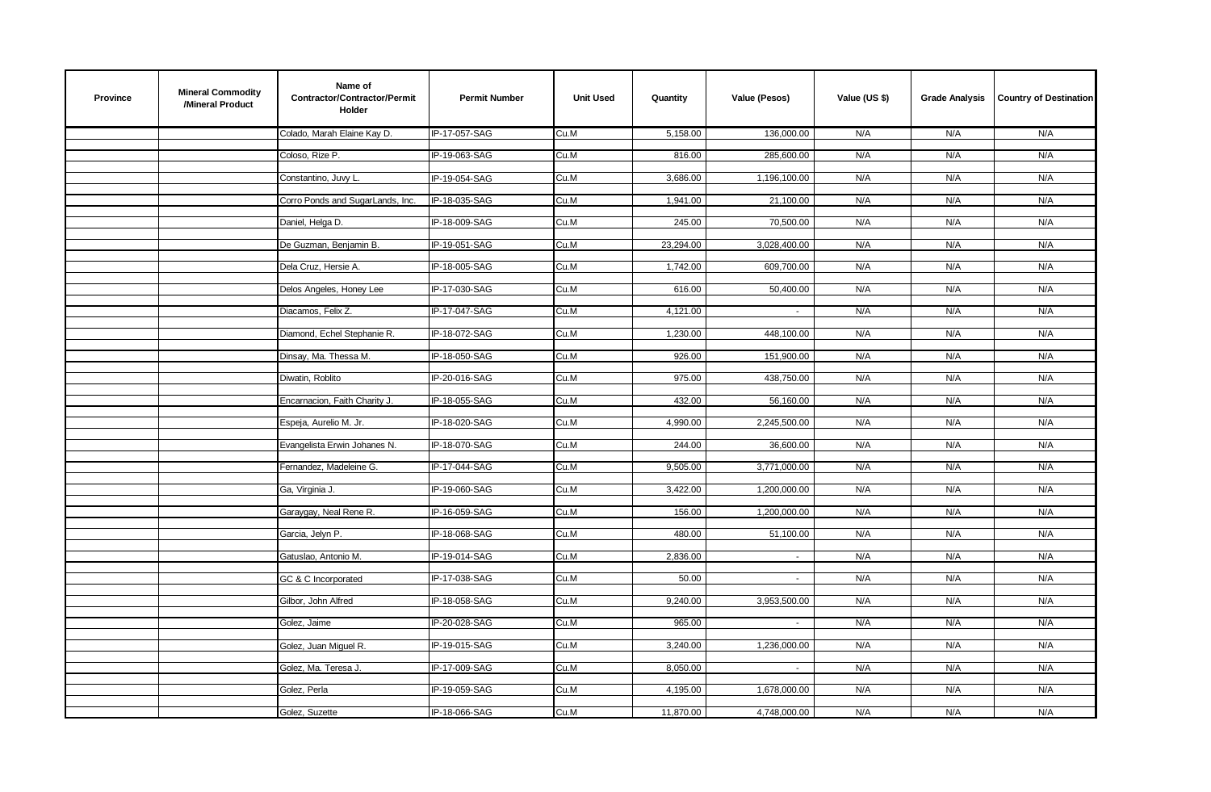| Name of<br><b>Mineral Commodity</b><br><b>Province</b><br>Contractor/Contractor/Permit<br><b>Permit Number</b><br><b>Unit Used</b><br>Value (Pesos)<br>Value (US \$)<br>Quantity<br>/Mineral Product<br><b>Holder</b> | <b>Grade Analysis</b> | <b>Country of Destination</b> |
|-----------------------------------------------------------------------------------------------------------------------------------------------------------------------------------------------------------------------|-----------------------|-------------------------------|
| Colado, Marah Elaine Kay D.<br>IP-17-057-SAG<br>Cu.M<br>5,158.00<br>136,000.00<br>N/A                                                                                                                                 | N/A                   | N/A                           |
| Coloso, Rize P.<br>IP-19-063-SAG<br>Cu.M<br>816.00<br>285,600.00<br>N/A                                                                                                                                               | N/A                   | N/A                           |
| N/A<br>Constantino, Juvy L.<br>Cu.M<br>3,686.00<br>1,196,100.00<br>IP-19-054-SAG                                                                                                                                      | N/A                   | N/A                           |
|                                                                                                                                                                                                                       |                       |                               |
| Corro Ponds and SugarLands, Inc.<br>1,941.00<br>N/A<br>IP-18-035-SAG<br>Cu.M<br>21,100.00                                                                                                                             | N/A                   | N/A                           |
| Daniel, Helga D.<br>IP-18-009-SAG<br>Cu.M<br>245.00<br>70,500.00<br>N/A                                                                                                                                               | N/A                   | N/A                           |
| 23,294.00<br>3,028,400.00<br>N/A<br>De Guzman, Benjamin B.<br>IP-19-051-SAG<br>Cu.M                                                                                                                                   | N/A                   | N/A                           |
| Dela Cruz, Hersie A.<br>IP-18-005-SAG<br>Cu.M<br>1,742.00<br>609,700.00<br>N/A                                                                                                                                        | N/A                   | N/A                           |
| 616.00<br>50,400.00<br>N/A<br>Delos Angeles, Honey Lee<br>IP-17-030-SAG<br>Cu.M                                                                                                                                       | N/A                   | N/A                           |
|                                                                                                                                                                                                                       |                       |                               |
| Diacamos, Felix Z.<br>IP-17-047-SAG<br>Cu.M<br>4,121.00<br>N/A<br>$\sim$                                                                                                                                              | N/A                   | N/A                           |
| Diamond, Echel Stephanie R.<br>IP-18-072-SAG<br>Cu.M<br>1,230.00<br>N/A<br>448,100.00                                                                                                                                 | N/A                   | N/A                           |
| IP-18-050-SAG<br>Cu.M<br>926.00<br>N/A<br>Dinsay, Ma. Thessa M.<br>151,900.00                                                                                                                                         | N/A                   | N/A                           |
| 975.00<br>438,750.00<br>N/A<br>Diwatin, Roblito<br>IP-20-016-SAG<br>Cu.M                                                                                                                                              | N/A                   | N/A                           |
| Encarnacion, Faith Charity J.<br>IP-18-055-SAG<br>Cu.M<br>432.00<br>56,160.00<br>N/A                                                                                                                                  | N/A                   | N/A                           |
|                                                                                                                                                                                                                       |                       |                               |
| IP-18-020-SAG<br>4,990.00<br>2,245,500.00<br>N/A<br>Espeja, Aurelio M. Jr.<br>Cu.M                                                                                                                                    | N/A                   | N/A                           |
| Evangelista Erwin Johanes N.<br>IP-18-070-SAG<br>244.00<br>36,600.00<br>N/A<br>Cu.M                                                                                                                                   | N/A                   | N/A                           |
| N/A<br>Fernandez, Madeleine G.<br>IP-17-044-SAG<br>Cu.M<br>9,505.00<br>3,771,000.00                                                                                                                                   | N/A                   | N/A                           |
| Ga, Virginia J.<br>IP-19-060-SAG<br>Cu.M<br>3,422.00<br>1,200,000.00<br>N/A                                                                                                                                           | N/A                   | N/A                           |
| N/A<br>Garaygay, Neal Rene R.<br>IP-16-059-SAG<br>Cu.M<br>156.00<br>1,200,000.00                                                                                                                                      | N/A                   | N/A                           |
|                                                                                                                                                                                                                       |                       |                               |
| IP-18-068-SAG<br>Cu.M<br>480.00<br>51,100.00<br>N/A<br>Garcia, Jelyn P.                                                                                                                                               | N/A                   | N/A                           |
| Gatuslao, Antonio M.<br>IP-19-014-SAG<br>Cu.M<br>2,836.00<br>N/A<br>$\omega$                                                                                                                                          | N/A                   | N/A                           |
| IP-17-038-SAG<br>N/A<br>GC & C Incorporated<br>Cu.M<br>50.00<br>$\omega$                                                                                                                                              | N/A                   | N/A                           |
| N/A<br>Gilbor, John Alfred<br>IP-18-058-SAG<br>Cu.M<br>9,240.00<br>3,953,500.00                                                                                                                                       | N/A                   | N/A                           |
| IP-20-028-SAG<br>965.00<br>N/A<br>Cu.M<br>Golez, Jaime<br>$\sim$                                                                                                                                                      | N/A                   | N/A                           |
|                                                                                                                                                                                                                       |                       |                               |
| 3,240.00<br>1,236,000.00<br>N/A<br>Golez, Juan Miguel R.<br>IP-19-015-SAG<br>Cu.M                                                                                                                                     | N/A                   | N/A                           |
| Golez, Ma. Teresa J.<br>IP-17-009-SAG<br>Cu.M<br>8,050.00<br>N/A<br>$\sim$                                                                                                                                            | N/A                   | N/A                           |
| N/A<br>Golez, Perla<br>IP-19-059-SAG<br>Cu.M<br>4,195.00<br>1,678,000.00                                                                                                                                              | N/A                   | N/A                           |
| N/A<br>Golez, Suzette<br>IP-18-066-SAG<br>Cu.M<br>11,870.00<br>4,748,000.00                                                                                                                                           | N/A                   | N/A                           |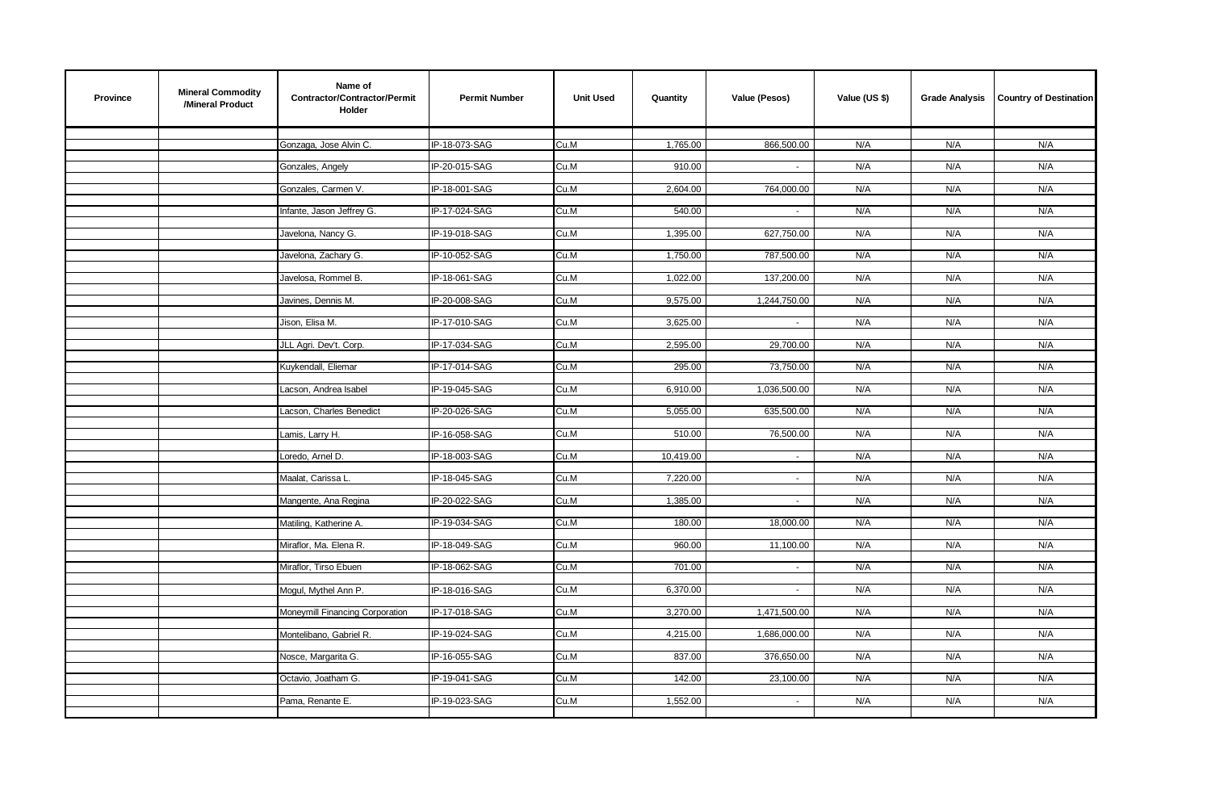| IP-18-073-SAG<br>1,765.00<br>866,500.00<br>Gonzaga, Jose Alvin C.<br>Cu.M<br>N/A<br>N/A<br>N/A<br>N/A<br>910.00<br>N/A<br>N/A<br>Gonzales, Angely<br>IP-20-015-SAG<br>Cu.M<br>$\sim$<br>IP-18-001-SAG<br>2,604.00<br>764,000.00<br>N/A<br>N/A<br>Gonzales, Carmen V.<br>Cu.M<br>N/A<br>IP-17-024-SAG<br>Cu.M<br>540.00<br>N/A<br>N/A<br>N/A<br>Infante, Jason Jeffrey G.<br>$\sim$<br>Cu.M<br>627,750.00<br>N/A<br>N/A<br>N/A<br>Javelona, Nancy G.<br>IP-19-018-SAG<br>1,395.00<br>N/A<br>IP-10-052-SAG<br>Cu.M<br>1,750.00<br>787,500.00<br>N/A<br>N/A<br>Javelona, Zachary G.<br>1,022.00<br>Javelosa, Rommel B.<br>IP-18-061-SAG<br>Cu.M<br>137,200.00<br>N/A<br>N/A<br>N/A<br>Javines, Dennis M.<br>IP-20-008-SAG<br>Cu.M<br>9,575.00<br>1,244,750.00<br>N/A<br>N/A<br>N/A<br>Jison, Elisa M.<br>IP-17-010-SAG<br>3,625.00<br>N/A<br>N/A<br>N/A<br>Cu.M<br>$\mathbb{Z}^{\times}$<br>IP-17-034-SAG<br>2,595.00<br>N/A<br>N/A<br>JLL Agri. Dev't. Corp.<br>Cu.M<br>29,700.00<br>N/A<br>N/A<br>Kuykendall, Eliemar<br>IP-17-014-SAG<br>Cu.M<br>295.00<br>73,750.00<br>N/A<br>N/A<br>IP-19-045-SAG<br>Cu.M<br>1,036,500.00<br>N/A<br>N/A<br>N/A<br>Lacson, Andrea Isabel<br>6,910.00<br>635,500.00<br>N/A<br>N/A<br>Lacson, Charles Benedict<br>IP-20-026-SAG<br>Cu.M<br>5,055.00<br>N/A<br>510.00<br>76,500.00<br>N/A<br>N/A<br>Lamis, Larry H.<br>IP-16-058-SAG<br>Cu.M<br>N/A<br>IP-18-003-SAG<br>10,419.00<br>N/A<br>N/A<br>N/A<br>Loredo, Arnel D.<br>Cu.M<br>$\sim$<br>IP-18-045-SAG<br>7,220.00<br>N/A<br>N/A<br>N/A<br>Maalat, Carissa L.<br>Cu.M<br>$\sim$<br>IP-20-022-SAG<br>1,385.00<br>N/A<br>N/A<br>Cu.M<br>N/A<br>Mangente, Ana Regina<br>$\sim$<br>IP-19-034-SAG<br>Cu.M<br>180.00<br>18,000.00<br>N/A<br>N/A<br>N/A<br>Matiling, Katherine A.<br>Miraflor, Ma. Elena R.<br>IP-18-049-SAG<br>Cu.M<br>960.00<br>11,100.00<br>N/A<br>N/A<br>N/A<br>N/A<br>N/A<br>N/A<br>Miraflor, Tirso Ebuen<br>IP-18-062-SAG<br>Cu.M<br>701.00<br>$\sim$<br>Cu.M<br>6,370.00<br>N/A<br>N/A<br>N/A<br>Mogul, Mythel Ann P.<br>IP-18-016-SAG<br>$\sim$<br>IP-17-018-SAG<br>Cu.M<br>3,270.00<br>1,471,500.00<br>N/A<br>N/A<br>N/A<br>Moneymill Financing Corporation<br>IP-19-024-SAG<br>4,215.00<br>1,686,000.00<br>N/A<br>N/A<br>N/A<br>Montelibano, Gabriel R.<br>Cu.M<br>376,650.00<br>IP-16-055-SAG<br>837.00<br>N/A<br>N/A<br>N/A<br>Nosce, Margarita G.<br>Cu.M<br>N/A<br>Octavio, Joatham G.<br>IP-19-041-SAG<br>Cu.M<br>142.00<br>23,100.00<br>N/A<br>N/A<br>IP-19-023-SAG<br>1,552.00<br>N/A<br>N/A<br>Pama, Renante E.<br>Cu.M<br>N/A<br>$\sim$ | <b>Province</b> | <b>Mineral Commodity</b><br>/Mineral Product | Name of<br>Contractor/Contractor/Permit<br><b>Holder</b> | <b>Permit Number</b> | <b>Unit Used</b> | Quantity | Value (Pesos) | Value (US \$) | <b>Grade Analysis</b> | <b>Country of Destination</b> |
|----------------------------------------------------------------------------------------------------------------------------------------------------------------------------------------------------------------------------------------------------------------------------------------------------------------------------------------------------------------------------------------------------------------------------------------------------------------------------------------------------------------------------------------------------------------------------------------------------------------------------------------------------------------------------------------------------------------------------------------------------------------------------------------------------------------------------------------------------------------------------------------------------------------------------------------------------------------------------------------------------------------------------------------------------------------------------------------------------------------------------------------------------------------------------------------------------------------------------------------------------------------------------------------------------------------------------------------------------------------------------------------------------------------------------------------------------------------------------------------------------------------------------------------------------------------------------------------------------------------------------------------------------------------------------------------------------------------------------------------------------------------------------------------------------------------------------------------------------------------------------------------------------------------------------------------------------------------------------------------------------------------------------------------------------------------------------------------------------------------------------------------------------------------------------------------------------------------------------------------------------------------------------------------------------------------------------------------------------------------------------------------------------------------------------------------------------------------------------------------------------------------------------------------------------------|-----------------|----------------------------------------------|----------------------------------------------------------|----------------------|------------------|----------|---------------|---------------|-----------------------|-------------------------------|
|                                                                                                                                                                                                                                                                                                                                                                                                                                                                                                                                                                                                                                                                                                                                                                                                                                                                                                                                                                                                                                                                                                                                                                                                                                                                                                                                                                                                                                                                                                                                                                                                                                                                                                                                                                                                                                                                                                                                                                                                                                                                                                                                                                                                                                                                                                                                                                                                                                                                                                                                                          |                 |                                              |                                                          |                      |                  |          |               |               |                       |                               |
|                                                                                                                                                                                                                                                                                                                                                                                                                                                                                                                                                                                                                                                                                                                                                                                                                                                                                                                                                                                                                                                                                                                                                                                                                                                                                                                                                                                                                                                                                                                                                                                                                                                                                                                                                                                                                                                                                                                                                                                                                                                                                                                                                                                                                                                                                                                                                                                                                                                                                                                                                          |                 |                                              |                                                          |                      |                  |          |               |               |                       |                               |
|                                                                                                                                                                                                                                                                                                                                                                                                                                                                                                                                                                                                                                                                                                                                                                                                                                                                                                                                                                                                                                                                                                                                                                                                                                                                                                                                                                                                                                                                                                                                                                                                                                                                                                                                                                                                                                                                                                                                                                                                                                                                                                                                                                                                                                                                                                                                                                                                                                                                                                                                                          |                 |                                              |                                                          |                      |                  |          |               |               |                       |                               |
|                                                                                                                                                                                                                                                                                                                                                                                                                                                                                                                                                                                                                                                                                                                                                                                                                                                                                                                                                                                                                                                                                                                                                                                                                                                                                                                                                                                                                                                                                                                                                                                                                                                                                                                                                                                                                                                                                                                                                                                                                                                                                                                                                                                                                                                                                                                                                                                                                                                                                                                                                          |                 |                                              |                                                          |                      |                  |          |               |               |                       |                               |
|                                                                                                                                                                                                                                                                                                                                                                                                                                                                                                                                                                                                                                                                                                                                                                                                                                                                                                                                                                                                                                                                                                                                                                                                                                                                                                                                                                                                                                                                                                                                                                                                                                                                                                                                                                                                                                                                                                                                                                                                                                                                                                                                                                                                                                                                                                                                                                                                                                                                                                                                                          |                 |                                              |                                                          |                      |                  |          |               |               |                       |                               |
|                                                                                                                                                                                                                                                                                                                                                                                                                                                                                                                                                                                                                                                                                                                                                                                                                                                                                                                                                                                                                                                                                                                                                                                                                                                                                                                                                                                                                                                                                                                                                                                                                                                                                                                                                                                                                                                                                                                                                                                                                                                                                                                                                                                                                                                                                                                                                                                                                                                                                                                                                          |                 |                                              |                                                          |                      |                  |          |               |               |                       |                               |
|                                                                                                                                                                                                                                                                                                                                                                                                                                                                                                                                                                                                                                                                                                                                                                                                                                                                                                                                                                                                                                                                                                                                                                                                                                                                                                                                                                                                                                                                                                                                                                                                                                                                                                                                                                                                                                                                                                                                                                                                                                                                                                                                                                                                                                                                                                                                                                                                                                                                                                                                                          |                 |                                              |                                                          |                      |                  |          |               |               |                       |                               |
|                                                                                                                                                                                                                                                                                                                                                                                                                                                                                                                                                                                                                                                                                                                                                                                                                                                                                                                                                                                                                                                                                                                                                                                                                                                                                                                                                                                                                                                                                                                                                                                                                                                                                                                                                                                                                                                                                                                                                                                                                                                                                                                                                                                                                                                                                                                                                                                                                                                                                                                                                          |                 |                                              |                                                          |                      |                  |          |               |               |                       |                               |
|                                                                                                                                                                                                                                                                                                                                                                                                                                                                                                                                                                                                                                                                                                                                                                                                                                                                                                                                                                                                                                                                                                                                                                                                                                                                                                                                                                                                                                                                                                                                                                                                                                                                                                                                                                                                                                                                                                                                                                                                                                                                                                                                                                                                                                                                                                                                                                                                                                                                                                                                                          |                 |                                              |                                                          |                      |                  |          |               |               |                       |                               |
|                                                                                                                                                                                                                                                                                                                                                                                                                                                                                                                                                                                                                                                                                                                                                                                                                                                                                                                                                                                                                                                                                                                                                                                                                                                                                                                                                                                                                                                                                                                                                                                                                                                                                                                                                                                                                                                                                                                                                                                                                                                                                                                                                                                                                                                                                                                                                                                                                                                                                                                                                          |                 |                                              |                                                          |                      |                  |          |               |               |                       |                               |
|                                                                                                                                                                                                                                                                                                                                                                                                                                                                                                                                                                                                                                                                                                                                                                                                                                                                                                                                                                                                                                                                                                                                                                                                                                                                                                                                                                                                                                                                                                                                                                                                                                                                                                                                                                                                                                                                                                                                                                                                                                                                                                                                                                                                                                                                                                                                                                                                                                                                                                                                                          |                 |                                              |                                                          |                      |                  |          |               |               |                       |                               |
|                                                                                                                                                                                                                                                                                                                                                                                                                                                                                                                                                                                                                                                                                                                                                                                                                                                                                                                                                                                                                                                                                                                                                                                                                                                                                                                                                                                                                                                                                                                                                                                                                                                                                                                                                                                                                                                                                                                                                                                                                                                                                                                                                                                                                                                                                                                                                                                                                                                                                                                                                          |                 |                                              |                                                          |                      |                  |          |               |               |                       |                               |
|                                                                                                                                                                                                                                                                                                                                                                                                                                                                                                                                                                                                                                                                                                                                                                                                                                                                                                                                                                                                                                                                                                                                                                                                                                                                                                                                                                                                                                                                                                                                                                                                                                                                                                                                                                                                                                                                                                                                                                                                                                                                                                                                                                                                                                                                                                                                                                                                                                                                                                                                                          |                 |                                              |                                                          |                      |                  |          |               |               |                       |                               |
|                                                                                                                                                                                                                                                                                                                                                                                                                                                                                                                                                                                                                                                                                                                                                                                                                                                                                                                                                                                                                                                                                                                                                                                                                                                                                                                                                                                                                                                                                                                                                                                                                                                                                                                                                                                                                                                                                                                                                                                                                                                                                                                                                                                                                                                                                                                                                                                                                                                                                                                                                          |                 |                                              |                                                          |                      |                  |          |               |               |                       |                               |
|                                                                                                                                                                                                                                                                                                                                                                                                                                                                                                                                                                                                                                                                                                                                                                                                                                                                                                                                                                                                                                                                                                                                                                                                                                                                                                                                                                                                                                                                                                                                                                                                                                                                                                                                                                                                                                                                                                                                                                                                                                                                                                                                                                                                                                                                                                                                                                                                                                                                                                                                                          |                 |                                              |                                                          |                      |                  |          |               |               |                       |                               |
|                                                                                                                                                                                                                                                                                                                                                                                                                                                                                                                                                                                                                                                                                                                                                                                                                                                                                                                                                                                                                                                                                                                                                                                                                                                                                                                                                                                                                                                                                                                                                                                                                                                                                                                                                                                                                                                                                                                                                                                                                                                                                                                                                                                                                                                                                                                                                                                                                                                                                                                                                          |                 |                                              |                                                          |                      |                  |          |               |               |                       |                               |
|                                                                                                                                                                                                                                                                                                                                                                                                                                                                                                                                                                                                                                                                                                                                                                                                                                                                                                                                                                                                                                                                                                                                                                                                                                                                                                                                                                                                                                                                                                                                                                                                                                                                                                                                                                                                                                                                                                                                                                                                                                                                                                                                                                                                                                                                                                                                                                                                                                                                                                                                                          |                 |                                              |                                                          |                      |                  |          |               |               |                       |                               |
|                                                                                                                                                                                                                                                                                                                                                                                                                                                                                                                                                                                                                                                                                                                                                                                                                                                                                                                                                                                                                                                                                                                                                                                                                                                                                                                                                                                                                                                                                                                                                                                                                                                                                                                                                                                                                                                                                                                                                                                                                                                                                                                                                                                                                                                                                                                                                                                                                                                                                                                                                          |                 |                                              |                                                          |                      |                  |          |               |               |                       |                               |
|                                                                                                                                                                                                                                                                                                                                                                                                                                                                                                                                                                                                                                                                                                                                                                                                                                                                                                                                                                                                                                                                                                                                                                                                                                                                                                                                                                                                                                                                                                                                                                                                                                                                                                                                                                                                                                                                                                                                                                                                                                                                                                                                                                                                                                                                                                                                                                                                                                                                                                                                                          |                 |                                              |                                                          |                      |                  |          |               |               |                       |                               |
|                                                                                                                                                                                                                                                                                                                                                                                                                                                                                                                                                                                                                                                                                                                                                                                                                                                                                                                                                                                                                                                                                                                                                                                                                                                                                                                                                                                                                                                                                                                                                                                                                                                                                                                                                                                                                                                                                                                                                                                                                                                                                                                                                                                                                                                                                                                                                                                                                                                                                                                                                          |                 |                                              |                                                          |                      |                  |          |               |               |                       |                               |
|                                                                                                                                                                                                                                                                                                                                                                                                                                                                                                                                                                                                                                                                                                                                                                                                                                                                                                                                                                                                                                                                                                                                                                                                                                                                                                                                                                                                                                                                                                                                                                                                                                                                                                                                                                                                                                                                                                                                                                                                                                                                                                                                                                                                                                                                                                                                                                                                                                                                                                                                                          |                 |                                              |                                                          |                      |                  |          |               |               |                       |                               |
|                                                                                                                                                                                                                                                                                                                                                                                                                                                                                                                                                                                                                                                                                                                                                                                                                                                                                                                                                                                                                                                                                                                                                                                                                                                                                                                                                                                                                                                                                                                                                                                                                                                                                                                                                                                                                                                                                                                                                                                                                                                                                                                                                                                                                                                                                                                                                                                                                                                                                                                                                          |                 |                                              |                                                          |                      |                  |          |               |               |                       |                               |
|                                                                                                                                                                                                                                                                                                                                                                                                                                                                                                                                                                                                                                                                                                                                                                                                                                                                                                                                                                                                                                                                                                                                                                                                                                                                                                                                                                                                                                                                                                                                                                                                                                                                                                                                                                                                                                                                                                                                                                                                                                                                                                                                                                                                                                                                                                                                                                                                                                                                                                                                                          |                 |                                              |                                                          |                      |                  |          |               |               |                       |                               |
|                                                                                                                                                                                                                                                                                                                                                                                                                                                                                                                                                                                                                                                                                                                                                                                                                                                                                                                                                                                                                                                                                                                                                                                                                                                                                                                                                                                                                                                                                                                                                                                                                                                                                                                                                                                                                                                                                                                                                                                                                                                                                                                                                                                                                                                                                                                                                                                                                                                                                                                                                          |                 |                                              |                                                          |                      |                  |          |               |               |                       |                               |
|                                                                                                                                                                                                                                                                                                                                                                                                                                                                                                                                                                                                                                                                                                                                                                                                                                                                                                                                                                                                                                                                                                                                                                                                                                                                                                                                                                                                                                                                                                                                                                                                                                                                                                                                                                                                                                                                                                                                                                                                                                                                                                                                                                                                                                                                                                                                                                                                                                                                                                                                                          |                 |                                              |                                                          |                      |                  |          |               |               |                       |                               |
|                                                                                                                                                                                                                                                                                                                                                                                                                                                                                                                                                                                                                                                                                                                                                                                                                                                                                                                                                                                                                                                                                                                                                                                                                                                                                                                                                                                                                                                                                                                                                                                                                                                                                                                                                                                                                                                                                                                                                                                                                                                                                                                                                                                                                                                                                                                                                                                                                                                                                                                                                          |                 |                                              |                                                          |                      |                  |          |               |               |                       |                               |
|                                                                                                                                                                                                                                                                                                                                                                                                                                                                                                                                                                                                                                                                                                                                                                                                                                                                                                                                                                                                                                                                                                                                                                                                                                                                                                                                                                                                                                                                                                                                                                                                                                                                                                                                                                                                                                                                                                                                                                                                                                                                                                                                                                                                                                                                                                                                                                                                                                                                                                                                                          |                 |                                              |                                                          |                      |                  |          |               |               |                       |                               |
|                                                                                                                                                                                                                                                                                                                                                                                                                                                                                                                                                                                                                                                                                                                                                                                                                                                                                                                                                                                                                                                                                                                                                                                                                                                                                                                                                                                                                                                                                                                                                                                                                                                                                                                                                                                                                                                                                                                                                                                                                                                                                                                                                                                                                                                                                                                                                                                                                                                                                                                                                          |                 |                                              |                                                          |                      |                  |          |               |               |                       |                               |
|                                                                                                                                                                                                                                                                                                                                                                                                                                                                                                                                                                                                                                                                                                                                                                                                                                                                                                                                                                                                                                                                                                                                                                                                                                                                                                                                                                                                                                                                                                                                                                                                                                                                                                                                                                                                                                                                                                                                                                                                                                                                                                                                                                                                                                                                                                                                                                                                                                                                                                                                                          |                 |                                              |                                                          |                      |                  |          |               |               |                       |                               |
|                                                                                                                                                                                                                                                                                                                                                                                                                                                                                                                                                                                                                                                                                                                                                                                                                                                                                                                                                                                                                                                                                                                                                                                                                                                                                                                                                                                                                                                                                                                                                                                                                                                                                                                                                                                                                                                                                                                                                                                                                                                                                                                                                                                                                                                                                                                                                                                                                                                                                                                                                          |                 |                                              |                                                          |                      |                  |          |               |               |                       |                               |
|                                                                                                                                                                                                                                                                                                                                                                                                                                                                                                                                                                                                                                                                                                                                                                                                                                                                                                                                                                                                                                                                                                                                                                                                                                                                                                                                                                                                                                                                                                                                                                                                                                                                                                                                                                                                                                                                                                                                                                                                                                                                                                                                                                                                                                                                                                                                                                                                                                                                                                                                                          |                 |                                              |                                                          |                      |                  |          |               |               |                       |                               |
|                                                                                                                                                                                                                                                                                                                                                                                                                                                                                                                                                                                                                                                                                                                                                                                                                                                                                                                                                                                                                                                                                                                                                                                                                                                                                                                                                                                                                                                                                                                                                                                                                                                                                                                                                                                                                                                                                                                                                                                                                                                                                                                                                                                                                                                                                                                                                                                                                                                                                                                                                          |                 |                                              |                                                          |                      |                  |          |               |               |                       |                               |
|                                                                                                                                                                                                                                                                                                                                                                                                                                                                                                                                                                                                                                                                                                                                                                                                                                                                                                                                                                                                                                                                                                                                                                                                                                                                                                                                                                                                                                                                                                                                                                                                                                                                                                                                                                                                                                                                                                                                                                                                                                                                                                                                                                                                                                                                                                                                                                                                                                                                                                                                                          |                 |                                              |                                                          |                      |                  |          |               |               |                       |                               |
|                                                                                                                                                                                                                                                                                                                                                                                                                                                                                                                                                                                                                                                                                                                                                                                                                                                                                                                                                                                                                                                                                                                                                                                                                                                                                                                                                                                                                                                                                                                                                                                                                                                                                                                                                                                                                                                                                                                                                                                                                                                                                                                                                                                                                                                                                                                                                                                                                                                                                                                                                          |                 |                                              |                                                          |                      |                  |          |               |               |                       |                               |
|                                                                                                                                                                                                                                                                                                                                                                                                                                                                                                                                                                                                                                                                                                                                                                                                                                                                                                                                                                                                                                                                                                                                                                                                                                                                                                                                                                                                                                                                                                                                                                                                                                                                                                                                                                                                                                                                                                                                                                                                                                                                                                                                                                                                                                                                                                                                                                                                                                                                                                                                                          |                 |                                              |                                                          |                      |                  |          |               |               |                       |                               |
|                                                                                                                                                                                                                                                                                                                                                                                                                                                                                                                                                                                                                                                                                                                                                                                                                                                                                                                                                                                                                                                                                                                                                                                                                                                                                                                                                                                                                                                                                                                                                                                                                                                                                                                                                                                                                                                                                                                                                                                                                                                                                                                                                                                                                                                                                                                                                                                                                                                                                                                                                          |                 |                                              |                                                          |                      |                  |          |               |               |                       |                               |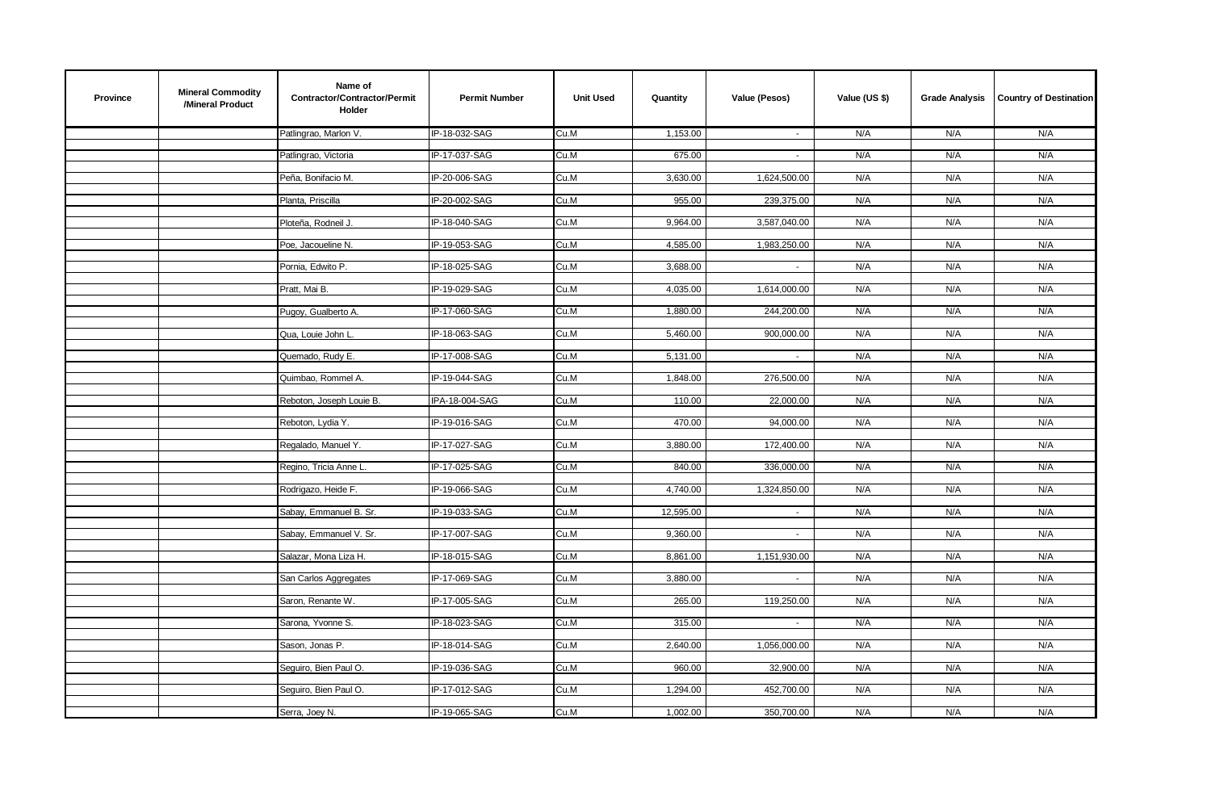| <b>Province</b> | <b>Mineral Commodity</b><br>/Mineral Product | Name of<br>Contractor/Contractor/Permit<br><b>Holder</b> | <b>Permit Number</b> | <b>Unit Used</b> | Quantity  | Value (Pesos)             | Value (US \$) | <b>Grade Analysis</b> | <b>Country of Destination</b> |
|-----------------|----------------------------------------------|----------------------------------------------------------|----------------------|------------------|-----------|---------------------------|---------------|-----------------------|-------------------------------|
|                 |                                              | Patlingrao, Marlon V.                                    | IP-18-032-SAG        | Cu.M             | 1,153.00  | $\sim$                    | N/A           | N/A                   | N/A                           |
|                 |                                              | Patlingrao, Victoria                                     | IP-17-037-SAG        | Cu.M             | 675.00    | $\sim$                    | N/A           | N/A                   | N/A                           |
|                 |                                              |                                                          |                      |                  |           |                           |               |                       |                               |
|                 |                                              | Peña, Bonifacio M.                                       | IP-20-006-SAG        | Cu.M             | 3,630.00  | 1,624,500.00              | N/A           | N/A                   | N/A                           |
|                 |                                              | Planta, Priscilla                                        | IP-20-002-SAG        | Cu.M             | 955.00    | 239,375.00                | N/A           | N/A                   | N/A                           |
|                 |                                              | Ploteña, Rodneil J.                                      | IP-18-040-SAG        | Cu.M             | 9,964.00  | 3,587,040.00              | N/A           | N/A                   | N/A                           |
|                 |                                              | Poe, Jacoueline N.                                       | IP-19-053-SAG        | Cu.M             | 4,585.00  | 1,983,250.00              | N/A           | N/A                   | N/A                           |
|                 |                                              |                                                          |                      |                  |           |                           |               |                       |                               |
|                 |                                              | Pornia, Edwito P.                                        | IP-18-025-SAG        | Cu.M             | 3,688.00  | $\sim$                    | N/A           | N/A                   | N/A                           |
|                 |                                              | Pratt, Mai B.                                            | IP-19-029-SAG        | Cu.M             | 4,035.00  | 1,614,000.00              | N/A           | N/A                   | N/A                           |
|                 |                                              | Pugoy, Gualberto A.                                      | IP-17-060-SAG        | Cu.M             | 1,880.00  | 244,200.00                | N/A           | N/A                   | N/A                           |
|                 |                                              |                                                          |                      |                  |           |                           |               |                       |                               |
|                 |                                              | Qua, Louie John L                                        | IP-18-063-SAG        | Cu.M             | 5,460.00  | 900,000.00                | N/A           | N/A                   | N/A                           |
|                 |                                              | Quemado, Rudy E.                                         | IP-17-008-SAG        | Cu.M             | 5,131.00  |                           | N/A           | N/A                   | N/A                           |
|                 |                                              | Quimbao, Rommel A.                                       | IP-19-044-SAG        | Cu.M             | 1,848.00  | 276,500.00                | N/A           | N/A                   | N/A                           |
|                 |                                              |                                                          |                      |                  |           |                           |               |                       |                               |
|                 |                                              | Reboton, Joseph Louie B.                                 | IPA-18-004-SAG       | Cu.M             | 110.00    | 22,000.00                 | N/A           | N/A                   | N/A                           |
|                 |                                              | Reboton, Lydia Y.                                        | IP-19-016-SAG        | Cu.M             | 470.00    | 94,000.00                 | N/A           | N/A                   | N/A                           |
|                 |                                              | Regalado, Manuel Y.                                      | IP-17-027-SAG        | Cu.M             | 3,880.00  | 172,400.00                | N/A           | N/A                   | N/A                           |
|                 |                                              |                                                          | IP-17-025-SAG        |                  | 840.00    | 336,000.00                | N/A           |                       | N/A                           |
|                 |                                              | Regino, Tricia Anne L.                                   |                      | Cu.M             |           |                           |               | N/A                   |                               |
|                 |                                              | Rodrigazo, Heide F.                                      | IP-19-066-SAG        | Cu.M             | 4,740.00  | 1,324,850.00              | N/A           | N/A                   | N/A                           |
|                 |                                              | Sabay, Emmanuel B. Sr.                                   | IP-19-033-SAG        | Cu.M             | 12,595.00 | $\sim$                    | N/A           | N/A                   | N/A                           |
|                 |                                              | Sabay, Emmanuel V. Sr.                                   | IP-17-007-SAG        | Cu.M             | 9,360.00  | $\mathbb{Z}^{\mathbb{Z}}$ | N/A           | N/A                   | N/A                           |
|                 |                                              |                                                          |                      |                  |           |                           |               |                       |                               |
|                 |                                              | Salazar, Mona Liza H.                                    | IP-18-015-SAG        | Cu.M             | 8,861.00  | 1,151,930.00              | N/A           | N/A                   | N/A                           |
|                 |                                              | San Carlos Aggregates                                    | IP-17-069-SAG        | Cu.M             | 3,880.00  | $\sim$                    | N/A           | N/A                   | N/A                           |
|                 |                                              | Saron, Renante W.                                        | IP-17-005-SAG        | Cu.M             | 265.00    | 119,250.00                | N/A           | N/A                   | N/A                           |
|                 |                                              |                                                          |                      |                  |           |                           |               |                       |                               |
|                 |                                              | Sarona, Yvonne S.                                        | IP-18-023-SAG        | Cu.M             | 315.00    | $\sim$                    | N/A           | N/A                   | N/A                           |
|                 |                                              | Sason, Jonas P.                                          | IP-18-014-SAG        | Cu.M             | 2,640.00  | 1,056,000.00              | N/A           | N/A                   | N/A                           |
|                 |                                              | Seguiro, Bien Paul O.                                    | IP-19-036-SAG        | Cu.M             | 960.00    | 32,900.00                 | N/A           | N/A                   | N/A                           |
|                 |                                              |                                                          |                      |                  |           |                           |               |                       |                               |
|                 |                                              | Seguiro, Bien Paul O.                                    | IP-17-012-SAG        | Cu.M             | 1,294.00  | 452,700.00                | N/A           | N/A                   | N/A                           |
|                 |                                              | Serra, Joey N.                                           | IP-19-065-SAG        | Cu.M             | 1,002.00  | 350,700.00                | N/A           | N/A                   | N/A                           |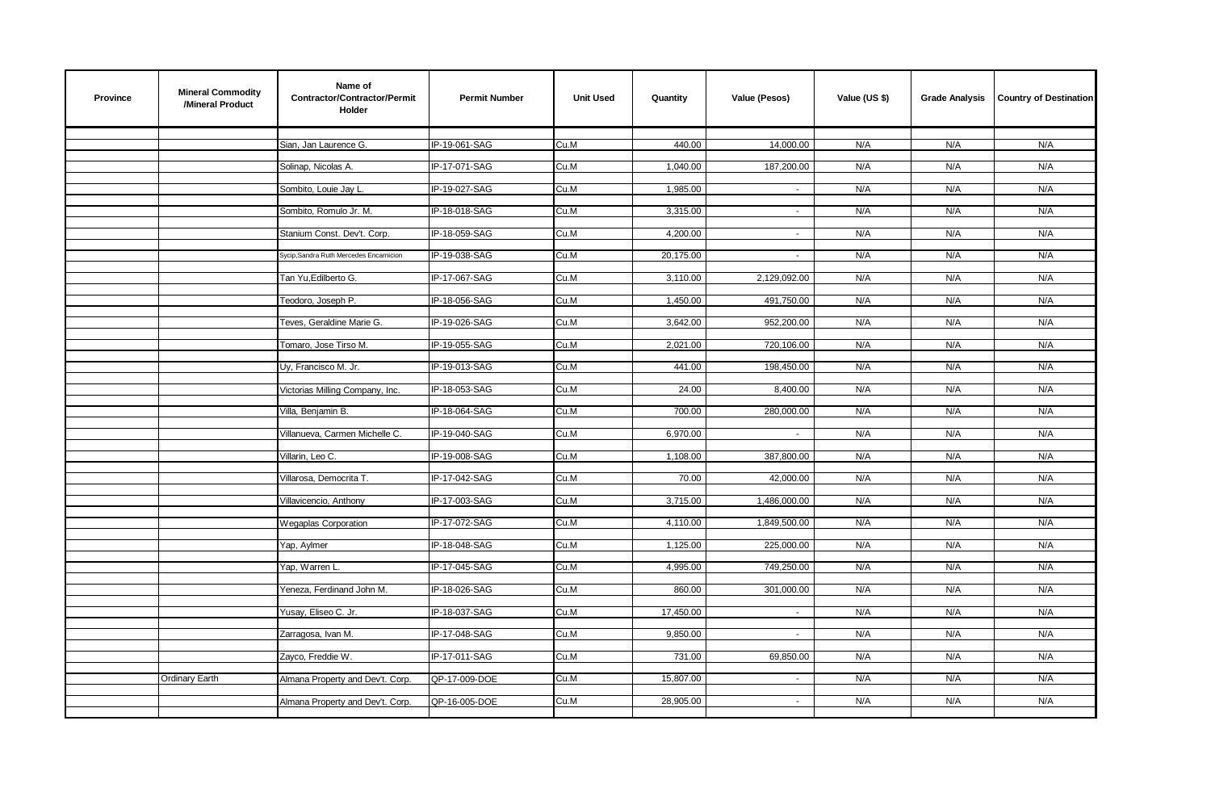| Province | <b>Mineral Commodity</b><br>/Mineral Product | Name of<br>Contractor/Contractor/Permit<br>Holder | <b>Permit Number</b> | <b>Unit Used</b> | Quantity  | Value (Pesos) | Value (US \$) | <b>Grade Analysis</b> | <b>Country of Destination</b> |
|----------|----------------------------------------------|---------------------------------------------------|----------------------|------------------|-----------|---------------|---------------|-----------------------|-------------------------------|
|          |                                              | Sian, Jan Laurence G.                             | IP-19-061-SAG        | Cu.M             | 440.00    | 14,000.00     | N/A           | N/A                   | N/A                           |
|          |                                              |                                                   |                      |                  |           |               |               |                       |                               |
|          |                                              | Solinap, Nicolas A.                               | IP-17-071-SAG        | Cu.M             | 1,040.00  | 187,200.00    | N/A           | N/A                   | N/A                           |
|          |                                              | Sombito, Louie Jay L.                             | IP-19-027-SAG        | Cu.M             | 1,985.00  | $\sim$        | N/A           | N/A                   | N/A                           |
|          |                                              | Sombito, Romulo Jr. M.                            | IP-18-018-SAG        | Cu.M             | 3,315.00  | $\omega$      | N/A           | N/A                   | N/A                           |
|          |                                              |                                                   |                      |                  |           |               |               |                       |                               |
|          |                                              | Stanium Const. Dev't. Corp.                       | IP-18-059-SAG        | Cu.M             | 4,200.00  | $\sim$        | N/A           | N/A                   | N/A                           |
|          |                                              | Sycip, Sandra Ruth Mercedes Encarnicion           | IP-19-038-SAG        | Cu.M             | 20,175.00 | $\sim$        | N/A           | N/A                   | N/A                           |
|          |                                              | Tan Yu, Edilberto G.                              | IP-17-067-SAG        | Cu.M             | 3,110.00  | 2,129,092.00  | N/A           | N/A                   | N/A                           |
|          |                                              | Teodoro, Joseph P.                                | IP-18-056-SAG        | Cu.M             | 1,450.00  | 491,750.00    | N/A           | N/A                   | N/A                           |
|          |                                              |                                                   |                      |                  |           |               |               |                       |                               |
|          |                                              | Teves, Geraldine Marie G.                         | IP-19-026-SAG        | Cu.M             | 3,642.00  | 952,200.00    | N/A           | N/A                   | N/A                           |
|          |                                              | Tomaro, Jose Tirso M.                             | IP-19-055-SAG        | Cu.M             | 2,021.00  | 720,106.00    | N/A           | N/A                   | N/A                           |
|          |                                              | Uy, Francisco M. Jr.                              | IP-19-013-SAG        | Cu.M             | 441.00    | 198,450.00    | N/A           | N/A                   | N/A                           |
|          |                                              |                                                   |                      |                  |           |               |               |                       |                               |
|          |                                              | Victorias Milling Company, Inc.                   | IP-18-053-SAG        | Cu.M             | 24.00     | 8,400.00      | N/A           | N/A                   | N/A                           |
|          |                                              | Villa, Benjamin B.                                | IP-18-064-SAG        | Cu.M             | 700.00    | 280,000.00    | N/A           | N/A                   | N/A                           |
|          |                                              | Villanueva, Carmen Michelle C.                    | IP-19-040-SAG        | Cu.M             | 6,970.00  | $\sim$        | N/A           | N/A                   | N/A                           |
|          |                                              |                                                   |                      |                  |           |               |               |                       |                               |
|          |                                              | Villarin, Leo C.                                  | IP-19-008-SAG        | Cu.M             | 1,108.00  | 387,800.00    | N/A           | N/A                   | N/A                           |
|          |                                              | Villarosa, Democrita T.                           | IP-17-042-SAG        | Cu.M             | 70.00     | 42,000.00     | N/A           | N/A                   | N/A                           |
|          |                                              | Villavicencio, Anthony                            | IP-17-003-SAG        | Cu.M             | 3,715.00  | 1,486,000.00  | N/A           | N/A                   | N/A                           |
|          |                                              |                                                   |                      |                  |           |               |               |                       |                               |
|          |                                              | <b>Wegaplas Corporation</b>                       | IP-17-072-SAG        | Cu.M             | 4,110.00  | 1,849,500.00  | N/A           | N/A                   | N/A                           |
|          |                                              | Yap, Aylmer                                       | IP-18-048-SAG        | Cu.M             | 1,125.00  | 225,000.00    | N/A           | N/A                   | N/A                           |
|          |                                              | Yap, Warren L.                                    | IP-17-045-SAG        | Cu.M             | 4,995.00  | 749,250.00    | N/A           | N/A                   | N/A                           |
|          |                                              | Yeneza, Ferdinand John M.                         |                      |                  |           |               | N/A           |                       | N/A                           |
|          |                                              |                                                   | IP-18-026-SAG        | Cu.M             | 860.00    | 301,000.00    |               | N/A                   |                               |
|          |                                              | Yusay, Eliseo C. Jr.                              | IP-18-037-SAG        | Cu.M             | 17,450.00 | $\sim$        | N/A           | N/A                   | N/A                           |
|          |                                              | Zarragosa, Ivan M.                                | IP-17-048-SAG        | Cu.M             | 9,850.00  | $\sim$        | N/A           | N/A                   | N/A                           |
|          |                                              | Zayco, Freddie W.                                 | IP-17-011-SAG        | Cu.M             | 731.00    | 69,850.00     | N/A           | N/A                   | N/A                           |
|          |                                              |                                                   |                      |                  |           |               |               |                       |                               |
|          | Ordinary Earth                               | Almana Property and Dev't. Corp.                  | QP-17-009-DOE        | Cu.M             | 15,807.00 | $\sim$        | N/A           | N/A                   | N/A                           |
|          |                                              | Almana Property and Dev't. Corp.                  | QP-16-005-DOE        | Cu.M             | 28,905.00 | $\sim$        | N/A           | N/A                   | N/A                           |
|          |                                              |                                                   |                      |                  |           |               |               |                       |                               |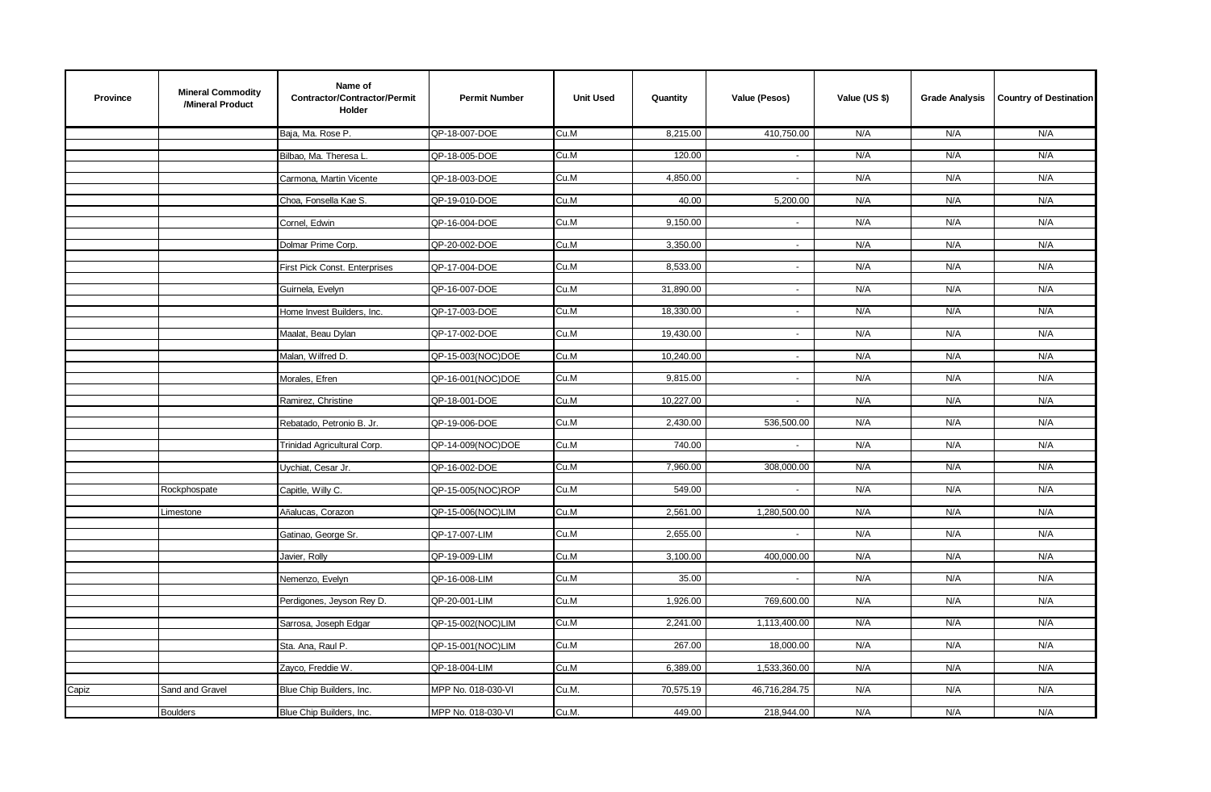| <b>Province</b> | <b>Mineral Commodity</b><br>/Mineral Product | Name of<br>Contractor/Contractor/Permit<br>Holder | <b>Permit Number</b> | <b>Unit Used</b> | Quantity  | Value (Pesos)  | Value (US \$) | <b>Grade Analysis</b> | <b>Country of Destination</b> |
|-----------------|----------------------------------------------|---------------------------------------------------|----------------------|------------------|-----------|----------------|---------------|-----------------------|-------------------------------|
|                 |                                              | Baja, Ma. Rose P.                                 | QP-18-007-DOE        | Cu.M             | 8,215.00  | 410,750.00     | N/A           | N/A                   | N/A                           |
|                 |                                              | Bilbao, Ma. Theresa L                             | QP-18-005-DOE        | Cu.M             | 120.00    | $\sim$         | N/A           | N/A                   | N/A                           |
|                 |                                              | Carmona, Martin Vicente                           | QP-18-003-DOE        | Cu.M             | 4,850.00  | $\blacksquare$ | N/A           | N/A                   | N/A                           |
|                 |                                              | Choa, Fonsella Kae S.                             | QP-19-010-DOE        | Cu.M             | 40.00     | 5,200.00       | N/A           | N/A                   | N/A                           |
|                 |                                              |                                                   |                      |                  |           |                |               |                       |                               |
|                 |                                              | Cornel, Edwin                                     | QP-16-004-DOE        | Cu.M             | 9,150.00  | $\sim$         | N/A           | N/A                   | N/A                           |
|                 |                                              | Dolmar Prime Corp.                                | QP-20-002-DOE        | Cu.M             | 3,350.00  | $\sim$         | N/A           | N/A                   | N/A                           |
|                 |                                              | First Pick Const. Enterprises                     | QP-17-004-DOE        | Cu.M             | 8,533.00  | $\sim$         | N/A           | N/A                   | N/A                           |
|                 |                                              | Guirnela, Evelyn                                  | QP-16-007-DOE        | Cu.M             | 31,890.00 | $\sim$         | N/A           | N/A                   | N/A                           |
|                 |                                              | Home Invest Builders, Inc.                        | QP-17-003-DOE        | Cu.M             | 18,330.00 | $\sim$         | N/A           | N/A                   | N/A                           |
|                 |                                              | Maalat, Beau Dylan                                | QP-17-002-DOE        | Cu.M             | 19,430.00 | $\blacksquare$ | N/A           | N/A                   | N/A                           |
|                 |                                              |                                                   |                      |                  |           |                |               |                       |                               |
|                 |                                              | Malan, Wilfred D.                                 | QP-15-003(NOC)DOE    | Cu.M             | 10,240.00 | $\sim$         | N/A           | N/A                   | N/A                           |
|                 |                                              | Morales, Efren                                    | QP-16-001(NOC)DOE    | Cu.M             | 9,815.00  | $\sim$         | N/A           | N/A                   | N/A                           |
|                 |                                              | Ramirez, Christine                                | QP-18-001-DOE        | Cu.M             | 10,227.00 | $\sim$         | N/A           | N/A                   | N/A                           |
|                 |                                              | Rebatado, Petronio B. Jr.                         | QP-19-006-DOE        | Cu.M             | 2,430.00  | 536,500.00     | N/A           | N/A                   | N/A                           |
|                 |                                              | Trinidad Agricultural Corp.                       | QP-14-009(NOC)DOE    | Cu.M             | 740.00    | $\sim$         | N/A           | N/A                   | N/A                           |
|                 |                                              |                                                   |                      |                  |           |                |               |                       |                               |
|                 |                                              | Uychiat, Cesar Jr.                                | QP-16-002-DOE        | Cu.M             | 7,960.00  | 308,000.00     | N/A           | N/A                   | N/A                           |
|                 | Rockphospate                                 | Capitle, Willy C.                                 | QP-15-005(NOC)ROP    | Cu.M             | 549.00    | $\omega$       | N/A           | N/A                   | N/A                           |
|                 | Limestone                                    | Añalucas, Corazon                                 | QP-15-006(NOC)LIM    | Cu.M             | 2,561.00  | 1,280,500.00   | N/A           | N/A                   | N/A                           |
|                 |                                              | Gatinao, George Sr.                               | QP-17-007-LIM        | Cu.M             | 2,655.00  | $\sim$         | N/A           | N/A                   | N/A                           |
|                 |                                              | Javier, Rolly                                     | QP-19-009-LIM        | Cu.M             | 3,100.00  | 400,000.00     | N/A           | N/A                   | N/A                           |
|                 |                                              | Nemenzo, Evelyn                                   | QP-16-008-LIM        | Cu.M             | 35.00     | $\sim$         | N/A           | N/A                   | N/A                           |
|                 |                                              |                                                   |                      |                  |           |                |               |                       |                               |
|                 |                                              | Perdigones, Jeyson Rey D.                         | QP-20-001-LIM        | Cu.M             | 1.926.00  | 769,600.00     | N/A           | N/A                   | N/A                           |
|                 |                                              | Sarrosa, Joseph Edgar                             | QP-15-002(NOC)LIM    | Cu.M             | 2,241.00  | 1,113,400.00   | N/A           | N/A                   | N/A                           |
|                 |                                              | Sta. Ana, Raul P.                                 | QP-15-001(NOC)LIM    | Cu.M             | 267.00    | 18,000.00      | N/A           | N/A                   | N/A                           |
|                 |                                              | Zayco, Freddie W.                                 | QP-18-004-LIM        | Cu.M             | 6,389.00  | 1,533,360.00   | N/A           | N/A                   | N/A                           |
| Capiz           | Sand and Gravel                              | Blue Chip Builders, Inc.                          | MPP No. 018-030-VI   | Cu.M.            | 70,575.19 | 46,716,284.75  | N/A           | N/A                   | N/A                           |
|                 |                                              |                                                   |                      |                  |           |                |               |                       |                               |
|                 | <b>Boulders</b>                              | Blue Chip Builders, Inc.                          | MPP No. 018-030-VI   | Cu.M.            | 449.00    | 218,944.00     | N/A           | N/A                   | N/A                           |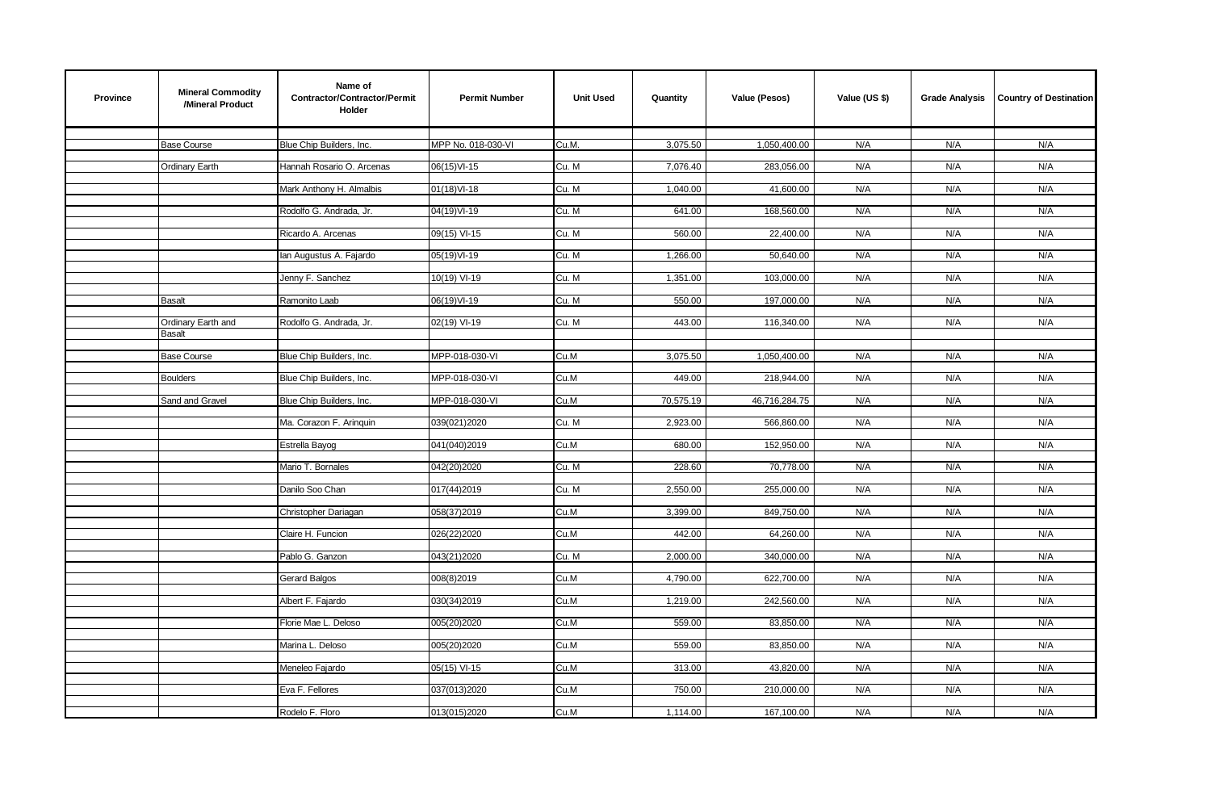| <b>Province</b> | <b>Mineral Commodity</b><br>/Mineral Product | Name of<br>Contractor/Contractor/Permit<br>Holder | <b>Permit Number</b> | <b>Unit Used</b> | Quantity  | Value (Pesos) | Value (US \$) | <b>Grade Analysis</b> | <b>Country of Destination</b> |
|-----------------|----------------------------------------------|---------------------------------------------------|----------------------|------------------|-----------|---------------|---------------|-----------------------|-------------------------------|
|                 | <b>Base Course</b>                           | Blue Chip Builders, Inc.                          | MPP No. 018-030-VI   | Cu.M.            | 3,075.50  | 1,050,400.00  | N/A           | N/A                   | N/A                           |
|                 | Ordinary Earth                               | Hannah Rosario O. Arcenas                         | 06(15) VI-15         | Cu. M            | 7,076.40  | 283,056.00    | N/A           | N/A                   | N/A                           |
|                 |                                              | Mark Anthony H. Almalbis                          | 01(18) VI-18         | Cu. M            | 1,040.00  | 41,600.00     | N/A           | N/A                   | N/A                           |
|                 |                                              | Rodolfo G. Andrada, Jr.                           | 04(19)VI-19          | Cu. M            | 641.00    | 168,560.00    | N/A           | N/A                   | N/A                           |
|                 |                                              | Ricardo A. Arcenas                                | 09(15) VI-15         | Cu. M            | 560.00    | 22,400.00     | N/A           | N/A                   | N/A                           |
|                 |                                              | lan Augustus A. Fajardo                           | 05(19)VI-19          | Cu. M            | 1,266.00  | 50,640.00     | N/A           | N/A                   | N/A                           |
|                 |                                              | Jenny F. Sanchez                                  | 10(19) VI-19         | Cu. M            | 1,351.00  | 103,000.00    | N/A           | N/A                   | N/A                           |
|                 | <b>Basalt</b>                                | Ramonito Laab                                     | 06(19)VI-19          | Cu. M            | 550.00    | 197,000.00    | N/A           | N/A                   | N/A                           |
|                 | Ordinary Earth and<br><b>Basalt</b>          | Rodolfo G. Andrada, Jr.                           | 02(19) VI-19         | Cu. M            | 443.00    | 116,340.00    | N/A           | N/A                   | N/A                           |
|                 | <b>Base Course</b>                           | Blue Chip Builders, Inc.                          | MPP-018-030-VI       | Cu.M             | 3,075.50  | 1,050,400.00  | N/A           | N/A                   | N/A                           |
|                 | <b>Boulders</b>                              | Blue Chip Builders, Inc.                          | MPP-018-030-VI       | Cu.M             | 449.00    | 218,944.00    | N/A           | N/A                   | N/A                           |
|                 | Sand and Gravel                              | Blue Chip Builders, Inc.                          | MPP-018-030-VI       | Cu.M             | 70,575.19 | 46,716,284.75 | N/A           | N/A                   | N/A                           |
|                 |                                              | Ma. Corazon F. Aringuin                           | 039(021)2020         | Cu. M            | 2,923.00  | 566,860.00    | N/A           | N/A                   | N/A                           |
|                 |                                              | Estrella Bayog                                    | 041(040)2019         | Cu.M             | 680.00    | 152,950.00    | N/A           | N/A                   | N/A                           |
|                 |                                              | Mario T. Bornales                                 | 042(20)2020          | Cu. M            | 228.60    | 70,778.00     | N/A           | N/A                   | N/A                           |
|                 |                                              | Danilo Soo Chan                                   | 017(44)2019          | Cu. M            | 2,550.00  | 255,000.00    | N/A           | N/A                   | N/A                           |
|                 |                                              | Christopher Dariagan                              | 058(37)2019          | Cu.M             | 3,399.00  | 849,750.00    | N/A           | N/A                   | N/A                           |
|                 |                                              | Claire H. Funcion                                 | 026(22)2020          | Cu.M             | 442.00    | 64,260.00     | N/A           | N/A                   | N/A                           |
|                 |                                              | Pablo G. Ganzon                                   | 043(21)2020          | Cu. M            | 2,000.00  | 340,000.00    | N/A           | N/A                   | N/A                           |
|                 |                                              | Gerard Balgos                                     | 008(8)2019           | Cu.M             | 4,790.00  | 622,700.00    | N/A           | N/A                   | N/A                           |
|                 |                                              | Albert F. Fajardo                                 | 030(34)2019          | Cu.M             | 1,219.00  | 242,560.00    | N/A           | N/A                   | N/A                           |
|                 |                                              | Florie Mae L. Deloso                              | 005(20)2020          | Cu.M             | 559.00    | 83,850.00     | N/A           | N/A                   | N/A                           |
|                 |                                              | Marina L. Deloso                                  | 005(20)2020          | Cu.M             | 559.00    | 83,850.00     | N/A           | N/A                   | N/A                           |
|                 |                                              | Meneleo Fajardo                                   | 05(15) VI-15         | Cu.M             | 313.00    | 43,820.00     | N/A           | N/A                   | N/A                           |
|                 |                                              | Eva F. Fellores                                   | 037(013)2020         | Cu.M             | 750.00    | 210,000.00    | N/A           | N/A                   | N/A                           |
|                 |                                              | Rodelo F. Floro                                   | 013(015)2020         | Cu.M             | 1,114.00  | 167,100.00    | N/A           | N/A                   | N/A                           |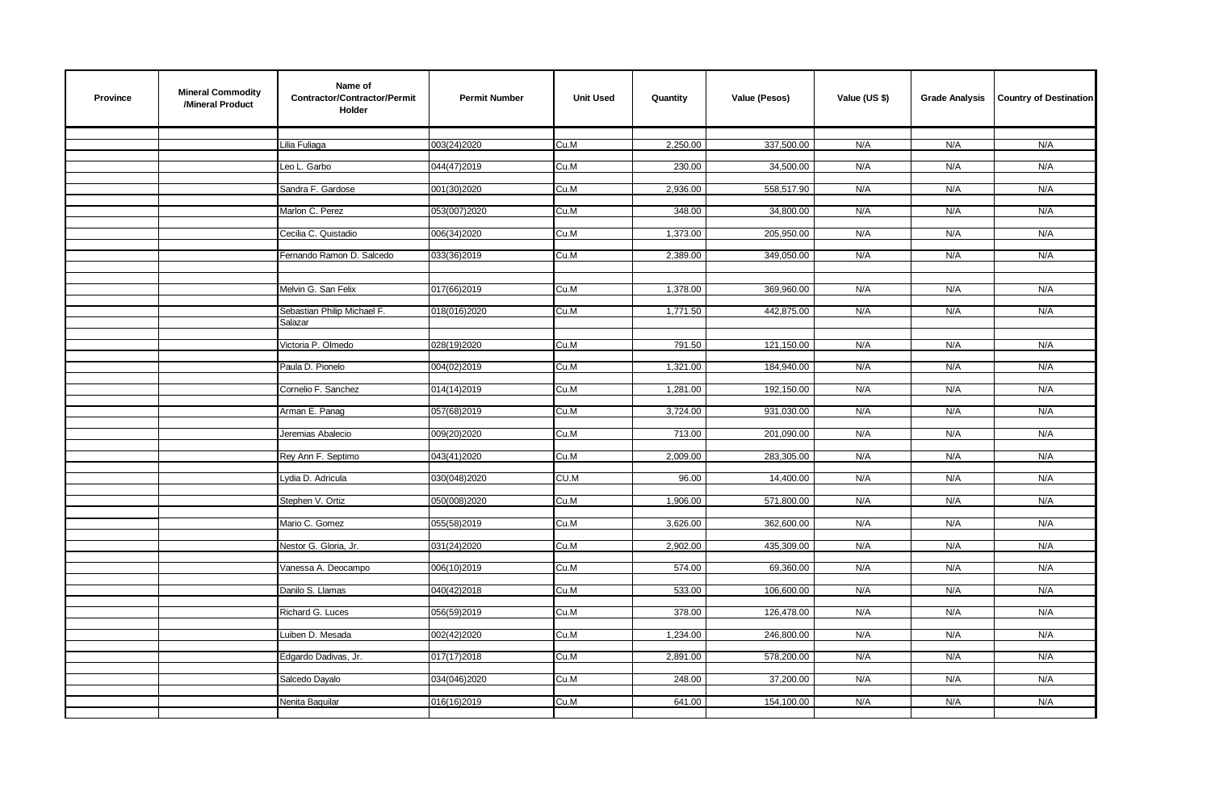| <b>Province</b> | <b>Mineral Commodity</b><br>/Mineral Product | Name of<br>Contractor/Contractor/Permit<br>Holder | <b>Permit Number</b> | <b>Unit Used</b> | Quantity | Value (Pesos) | Value (US \$) | <b>Grade Analysis</b> | <b>Country of Destination</b> |
|-----------------|----------------------------------------------|---------------------------------------------------|----------------------|------------------|----------|---------------|---------------|-----------------------|-------------------------------|
|                 |                                              | Lilia Fuliaga                                     | 003(24)2020          | Cu.M             | 2,250.00 | 337,500.00    | N/A           | N/A                   | N/A                           |
|                 |                                              | Leo L. Garbo                                      | 044(47)2019          | Cu.M             | 230.00   | 34,500.00     | N/A           | N/A                   | N/A                           |
|                 |                                              |                                                   |                      |                  |          |               |               |                       |                               |
|                 |                                              | Sandra F. Gardose                                 | 001(30)2020          | Cu.M             | 2,936.00 | 558,517.90    | N/A           | N/A                   | N/A                           |
|                 |                                              | Marlon C. Perez                                   | 053(007)2020         | Cu.M             | 348.00   | 34,800.00     | N/A           | N/A                   | N/A                           |
|                 |                                              | Cecilia C. Quistadio                              | 006(34)2020          | Cu.M             | 1,373.00 | 205,950.00    | N/A           | N/A                   | N/A                           |
|                 |                                              | Fernando Ramon D. Salcedo                         | 033(36)2019          | Cu.M             | 2,389.00 | 349,050.00    | N/A           | N/A                   | N/A                           |
|                 |                                              |                                                   |                      |                  |          |               |               |                       |                               |
|                 |                                              | Melvin G. San Felix                               | 017(66)2019          | Cu.M             | 1,378.00 | 369,960.00    | N/A           | N/A                   | N/A                           |
|                 |                                              |                                                   |                      |                  |          |               |               |                       |                               |
|                 |                                              | Sebastian Philip Michael F.<br>Salazar            | 018(016)2020         | Cu.M             | 1,771.50 | 442,875.00    | N/A           | N/A                   | N/A                           |
|                 |                                              | Victoria P. Olmedo                                | 028(19)2020          | Cu.M             | 791.50   | 121,150.00    | N/A           | N/A                   | N/A                           |
|                 |                                              |                                                   |                      |                  |          |               |               |                       |                               |
|                 |                                              | Paula D. Pionelo                                  | 004(02)2019          | Cu.M             | 1,321.00 | 184,940.00    | N/A           | N/A                   | N/A                           |
|                 |                                              | Cornelio F. Sanchez                               | 014(14)2019          | Cu.M             | 1,281.00 | 192,150.00    | N/A           | N/A                   | N/A                           |
|                 |                                              | Arman E. Panag                                    | 057(68)2019          | Cu.M             | 3,724.00 | 931,030.00    | N/A           | N/A                   | N/A                           |
|                 |                                              |                                                   |                      |                  |          |               |               |                       |                               |
|                 |                                              | Jeremias Abalecio                                 | 009(20)2020          | Cu.M             | 713.00   | 201,090.00    | N/A           | N/A                   | N/A                           |
|                 |                                              | Rey Ann F. Septimo                                | 043(41)2020          | Cu.M             | 2,009.00 | 283,305.00    | N/A           | N/A                   | N/A                           |
|                 |                                              | Lydia D. Adricula                                 | 030(048)2020         | CU.M             | 96.00    | 14,400.00     | N/A           | N/A                   | N/A                           |
|                 |                                              | Stephen V. Ortiz                                  | 050(008)2020         | Cu.M             | 1,906.00 | 571,800.00    | N/A           | N/A                   | N/A                           |
|                 |                                              |                                                   |                      |                  |          |               |               |                       |                               |
|                 |                                              | Mario C. Gomez                                    | 055(58)2019          | Cu.M             | 3,626.00 | 362,600.00    | N/A           | N/A                   | N/A                           |
|                 |                                              | Nestor G. Gloria, Jr.                             | 031(24)2020          | Cu.M             | 2,902.00 | 435,309.00    | N/A           | N/A                   | N/A                           |
|                 |                                              | Vanessa A. Deocampo                               | 006(10)2019          | Cu.M             | 574.00   | 69,360.00     | N/A           | N/A                   | N/A                           |
|                 |                                              |                                                   |                      |                  |          |               |               |                       |                               |
|                 |                                              | Danilo S. Llamas                                  | 040(42)2018          | Cu.M             | 533.00   | 106,600.00    | N/A           | N/A                   | N/A                           |
|                 |                                              | Richard G. Luces                                  | 056(59)2019          | Cu.M             | 378.00   | 126,478.00    | N/A           | N/A                   | N/A                           |
|                 |                                              | Luiben D. Mesada                                  | 002(42)2020          | Cu.M             | 1,234.00 | 246,800.00    | N/A           | N/A                   | N/A                           |
|                 |                                              | Edgardo Dadivas, Jr.                              | 017(17)2018          | Cu.M             | 2,891.00 | 578,200.00    | N/A           | N/A                   | N/A                           |
|                 |                                              |                                                   |                      |                  |          |               |               |                       |                               |
|                 |                                              | Salcedo Dayalo                                    | 034(046)2020         | Cu.M             | 248.00   | 37,200.00     | N/A           | N/A                   | N/A                           |
|                 |                                              | Nenita Baquilar                                   | 016(16)2019          | Cu.M             | 641.00   | 154,100.00    | N/A           | N/A                   | N/A                           |
|                 |                                              |                                                   |                      |                  |          |               |               |                       |                               |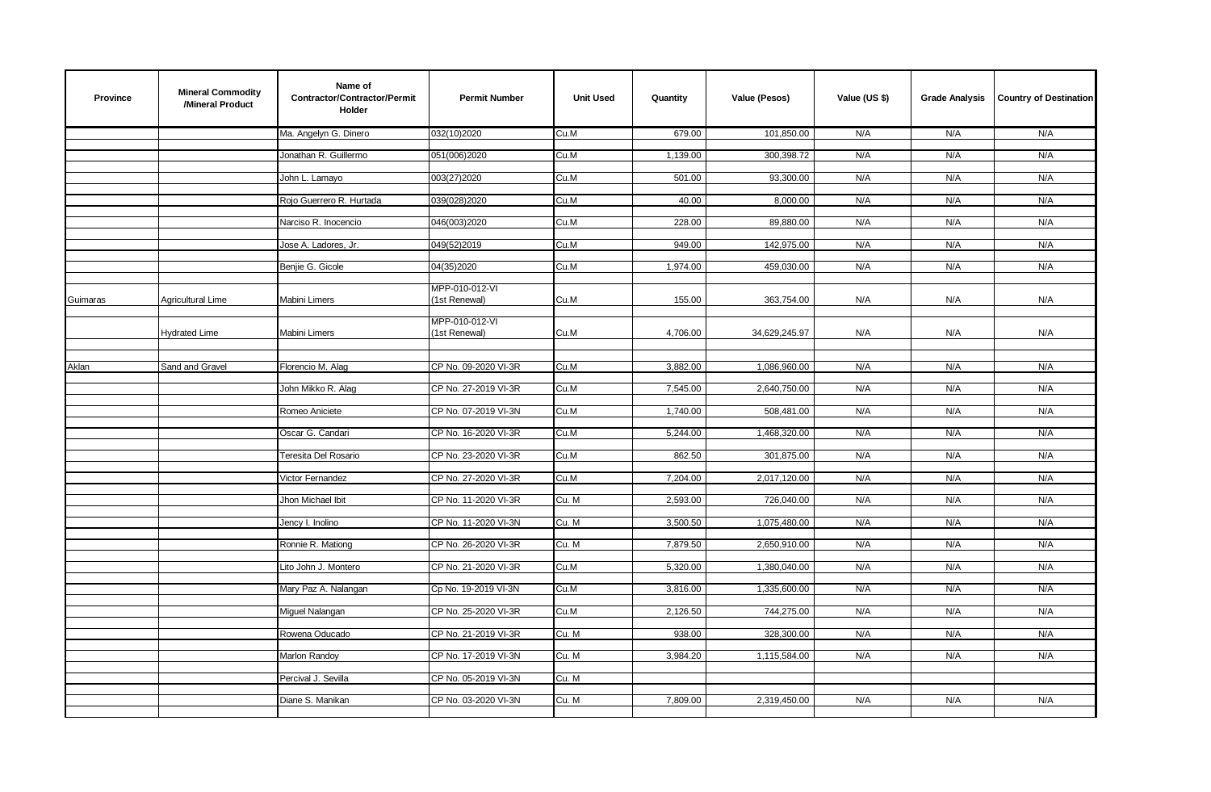| <b>Province</b> | <b>Mineral Commodity</b><br>/Mineral Product | Name of<br>Contractor/Contractor/Permit<br>Holder | <b>Permit Number</b>            | <b>Unit Used</b> | Quantity | Value (Pesos) | Value (US \$) | <b>Grade Analysis</b> | <b>Country of Destination</b> |
|-----------------|----------------------------------------------|---------------------------------------------------|---------------------------------|------------------|----------|---------------|---------------|-----------------------|-------------------------------|
|                 |                                              | Ma. Angelyn G. Dinero                             | 032(10)2020                     | Cu.M             | 679.00   | 101,850.00    | N/A           | N/A                   | N/A                           |
|                 |                                              | Jonathan R. Guillermo                             | 051(006)2020                    | Cu.M             | 1,139.00 | 300,398.72    | N/A           | N/A                   | N/A                           |
|                 |                                              | John L. Lamayo                                    | 003(27)2020                     | Cu.M             | 501.00   | 93,300.00     | N/A           | N/A                   | N/A                           |
|                 |                                              |                                                   |                                 |                  |          |               |               |                       |                               |
|                 |                                              | Rojo Guerrero R. Hurtada                          | 039(028)2020                    | Cu.M             | 40.00    | 8,000.00      | N/A           | N/A                   | N/A                           |
|                 |                                              | Narciso R. Inocencio                              | 046(003)2020                    | Cu.M             | 228.00   | 89,880.00     | N/A           | N/A                   | N/A                           |
|                 |                                              | Jose A. Ladores, Jr.                              | 049(52)2019                     | Cu.M             | 949.00   | 142,975.00    | N/A           | N/A                   | N/A                           |
|                 |                                              | Benjie G. Gicole                                  | 04(35)2020                      | Cu.M             | 1,974.00 | 459,030.00    | N/A           | N/A                   | N/A                           |
|                 |                                              |                                                   |                                 |                  |          |               |               |                       |                               |
| Guimaras        | <b>Agricultural Lime</b>                     | Mabini Limers                                     | MPP-010-012-VI<br>(1st Renewal) | Cu.M             | 155.00   | 363,754.00    | N/A           | N/A                   | N/A                           |
|                 |                                              |                                                   | MPP-010-012-VI                  |                  |          |               |               |                       |                               |
|                 | <b>Hydrated Lime</b>                         | Mabini Limers                                     | (1st Renewal)                   | Cu.M             | 4,706.00 | 34,629,245.97 | N/A           | N/A                   | N/A                           |
|                 |                                              |                                                   |                                 |                  |          |               |               |                       |                               |
| Aklan           | Sand and Gravel                              | Florencio M. Alag                                 | CP No. 09-2020 VI-3R            | Cu.M             | 3,882.00 | 1,086,960.00  | N/A           | N/A                   | N/A                           |
|                 |                                              | John Mikko R. Alag                                | CP No. 27-2019 VI-3R            | Cu.M             | 7,545.00 | 2,640,750.00  | N/A           | N/A                   | N/A                           |
|                 |                                              | Romeo Aniciete                                    | CP No. 07-2019 VI-3N            | Cu.M             | 1,740.00 | 508,481.00    | N/A           | N/A                   | N/A                           |
|                 |                                              | Oscar G. Candari                                  | CP No. 16-2020 VI-3R            | Cu.M             | 5,244.00 | 1,468,320.00  | N/A           | N/A                   | N/A                           |
|                 |                                              |                                                   |                                 |                  |          |               |               |                       |                               |
|                 |                                              | Teresita Del Rosario                              | CP No. 23-2020 VI-3R            | Cu.M             | 862.50   | 301,875.00    | N/A           | N/A                   | N/A                           |
|                 |                                              | Victor Fernandez                                  | CP No. 27-2020 VI-3R            | Cu.M             | 7,204.00 | 2,017,120.00  | N/A           | N/A                   | N/A                           |
|                 |                                              | Jhon Michael Ibit                                 | CP No. 11-2020 VI-3R            | Cu. M            | 2,593.00 | 726,040.00    | N/A           | N/A                   | N/A                           |
|                 |                                              | Jency I. Inolino                                  | CP No. 11-2020 VI-3N            | Cu. M            | 3,500.50 | 1,075,480.00  | N/A           | N/A                   | N/A                           |
|                 |                                              | Ronnie R. Mationg                                 | CP No. 26-2020 VI-3R            | Cu. M            | 7,879.50 | 2,650,910.00  | N/A           | N/A                   | N/A                           |
|                 |                                              |                                                   |                                 |                  |          |               |               |                       |                               |
|                 |                                              | Lito John J. Montero                              | CP No. 21-2020 VI-3R            | Cu.M             | 5,320.00 | 1,380,040.00  | N/A           | N/A                   | N/A                           |
|                 |                                              | Mary Paz A. Nalangan                              | Cp No. 19-2019 VI-3N            | Cu.M             | 3,816.00 | 1,335,600.00  | N/A           | N/A                   | N/A                           |
|                 |                                              | Miguel Nalangan                                   | CP No. 25-2020 VI-3R            | Cu.M             | 2,126.50 | 744,275.00    | N/A           | N/A                   | N/A                           |
|                 |                                              | Rowena Oducado                                    | CP No. 21-2019 VI-3R            | Cu. M            | 938.00   | 328,300.00    | N/A           | N/A                   | N/A                           |
|                 |                                              |                                                   |                                 |                  |          |               |               |                       |                               |
|                 |                                              | Marlon Randoy                                     | CP No. 17-2019 VI-3N            | Cu. M            | 3,984.20 | 1,115,584.00  | N/A           | N/A                   | N/A                           |
|                 |                                              | Percival J. Sevilla                               | CP No. 05-2019 VI-3N            | Cu. M            |          |               |               |                       |                               |
|                 |                                              | Diane S. Manikan                                  | CP No. 03-2020 VI-3N            | Cu. M            | 7,809.00 | 2,319,450.00  | N/A           | N/A                   | N/A                           |
|                 |                                              |                                                   |                                 |                  |          |               |               |                       |                               |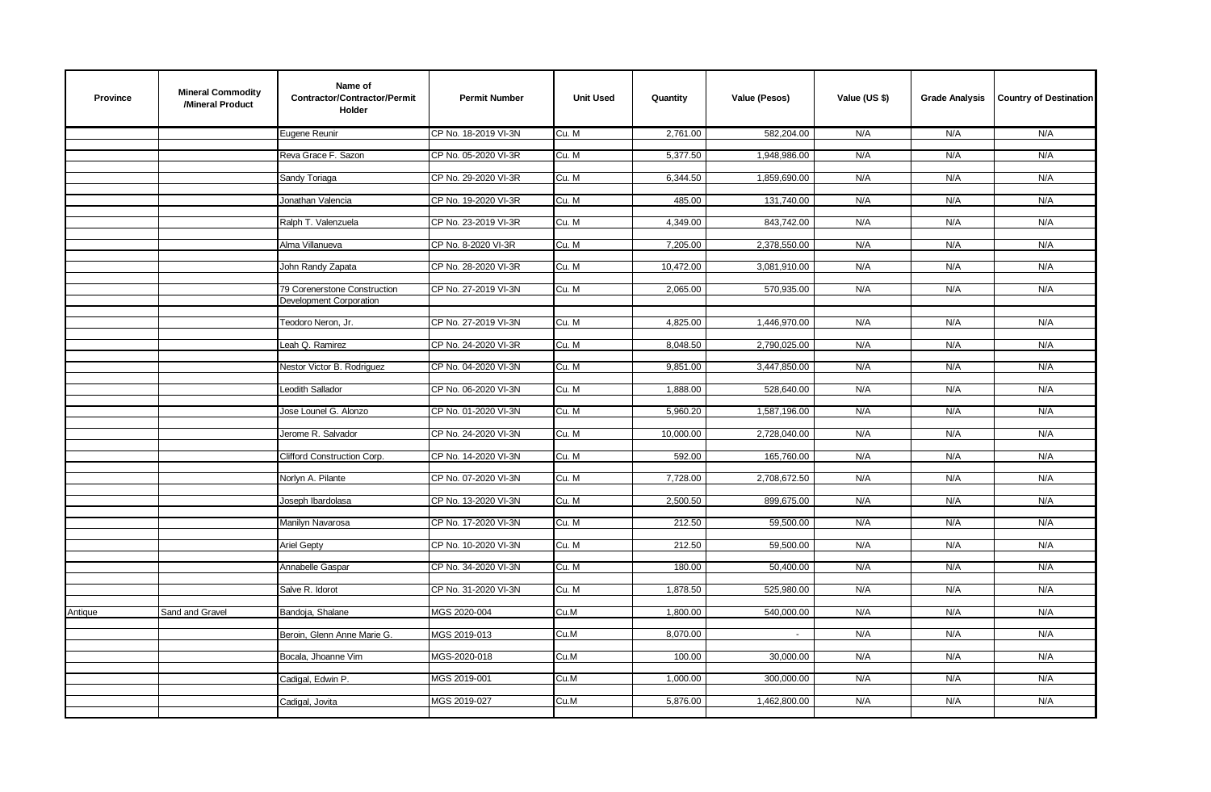| <b>Province</b> | <b>Mineral Commodity</b><br>/Mineral Product | Name of<br>Contractor/Contractor/Permit<br>Holder       | <b>Permit Number</b> | <b>Unit Used</b> | Quantity  | Value (Pesos) | Value (US \$) | <b>Grade Analysis</b> | <b>Country of Destination</b> |
|-----------------|----------------------------------------------|---------------------------------------------------------|----------------------|------------------|-----------|---------------|---------------|-----------------------|-------------------------------|
|                 |                                              | Eugene Reunir                                           | CP No. 18-2019 VI-3N | Cu. M            | 2,761.00  | 582,204.00    | N/A           | N/A                   | N/A                           |
|                 |                                              | Reva Grace F. Sazon                                     | CP No. 05-2020 VI-3R | Cu. M            | 5,377.50  | 1,948,986.00  | N/A           | N/A                   | N/A                           |
|                 |                                              |                                                         |                      |                  |           |               |               |                       |                               |
|                 |                                              | Sandy Toriaga                                           | CP No. 29-2020 VI-3R | Cu. M            | 6,344.50  | 1,859,690.00  | N/A           | N/A                   | N/A                           |
|                 |                                              | Jonathan Valencia                                       | CP No. 19-2020 VI-3R | Cu. M            | 485.00    | 131,740.00    | N/A           | N/A                   | N/A                           |
|                 |                                              | Ralph T. Valenzuela                                     | CP No. 23-2019 VI-3R | Cu. M            | 4,349.00  | 843,742.00    | N/A           | N/A                   | N/A                           |
|                 |                                              | Alma Villanueva                                         | CP No. 8-2020 VI-3R  | Cu. M            | 7,205.00  | 2,378,550.00  | N/A           | N/A                   | N/A                           |
|                 |                                              | John Randy Zapata                                       | CP No. 28-2020 VI-3R | Cu. M            | 10,472.00 | 3,081,910.00  | N/A           | N/A                   | N/A                           |
|                 |                                              | 79 Corenerstone Construction<br>Development Corporation | CP No. 27-2019 VI-3N | Cu. M            | 2,065.00  | 570,935.00    | N/A           | N/A                   | N/A                           |
|                 |                                              | Teodoro Neron, Jr.                                      | CP No. 27-2019 VI-3N | Cu. M            | 4,825.00  | 1,446,970.00  | N/A           | N/A                   | N/A                           |
|                 |                                              | Leah Q. Ramirez                                         | CP No. 24-2020 VI-3R | Cu. M            | 8,048.50  | 2,790,025.00  | N/A           | N/A                   | N/A                           |
|                 |                                              | Nestor Victor B. Rodriguez                              | CP No. 04-2020 VI-3N | Cu. M            | 9,851.00  | 3,447,850.00  | N/A           | N/A                   | N/A                           |
|                 |                                              | <b>Leodith Sallador</b>                                 | CP No. 06-2020 VI-3N | Cu. M            | 1,888.00  | 528,640.00    | N/A           | N/A                   | N/A                           |
|                 |                                              | Jose Lounel G. Alonzo                                   | CP No. 01-2020 VI-3N | Cu. M            | 5,960.20  | 1,587,196.00  | N/A           | N/A                   | N/A                           |
|                 |                                              | Jerome R. Salvador                                      | CP No. 24-2020 VI-3N | Cu. M            | 10,000.00 | 2,728,040.00  | N/A           | N/A                   | N/A                           |
|                 |                                              | Clifford Construction Corp.                             | CP No. 14-2020 VI-3N | Cu. M            | 592.00    | 165,760.00    | N/A           | N/A                   | N/A                           |
|                 |                                              | Norlyn A. Pilante                                       | CP No. 07-2020 VI-3N | Cu. M            | 7,728.00  | 2,708,672.50  | N/A           | N/A                   | N/A                           |
|                 |                                              | Joseph Ibardolasa                                       | CP No. 13-2020 VI-3N | Cu. M            | 2,500.50  | 899,675.00    | N/A           | N/A                   | N/A                           |
|                 |                                              | Manilyn Navarosa                                        | CP No. 17-2020 VI-3N | Cu. M            | 212.50    | 59,500.00     | N/A           | N/A                   | N/A                           |
|                 |                                              | <b>Ariel Gepty</b>                                      | CP No. 10-2020 VI-3N | Cu. M            | 212.50    | 59,500.00     | N/A           | N/A                   | N/A                           |
|                 |                                              | Annabelle Gaspar                                        | CP No. 34-2020 VI-3N | Cu. M            | 180.00    | 50,400.00     | N/A           | N/A                   | N/A                           |
|                 |                                              | Salve R. Idorot                                         | CP No. 31-2020 VI-3N | Cu. M            | 1,878.50  | 525,980.00    | N/A           | N/A                   | N/A                           |
| Antique         | Sand and Gravel                              | Bandoja, Shalane                                        | MGS 2020-004         | Cu.M             | 1,800.00  | 540,000.00    | N/A           | N/A                   | N/A                           |
|                 |                                              | Beroin, Glenn Anne Marie G.                             | MGS 2019-013         | Cu.M             | 8,070.00  | $\sim$        | N/A           | N/A                   | N/A                           |
|                 |                                              | Bocala, Jhoanne Vim                                     | MGS-2020-018         | Cu.M             | 100.00    | 30,000.00     | N/A           | N/A                   | N/A                           |
|                 |                                              | Cadigal, Edwin P.                                       | MGS 2019-001         | Cu.M             | 1,000.00  | 300,000.00    | N/A           | N/A                   | N/A                           |
|                 |                                              | Cadigal, Jovita                                         | MGS 2019-027         | Cu.M             | 5,876.00  | 1,462,800.00  | N/A           | N/A                   | N/A                           |
|                 |                                              |                                                         |                      |                  |           |               |               |                       |                               |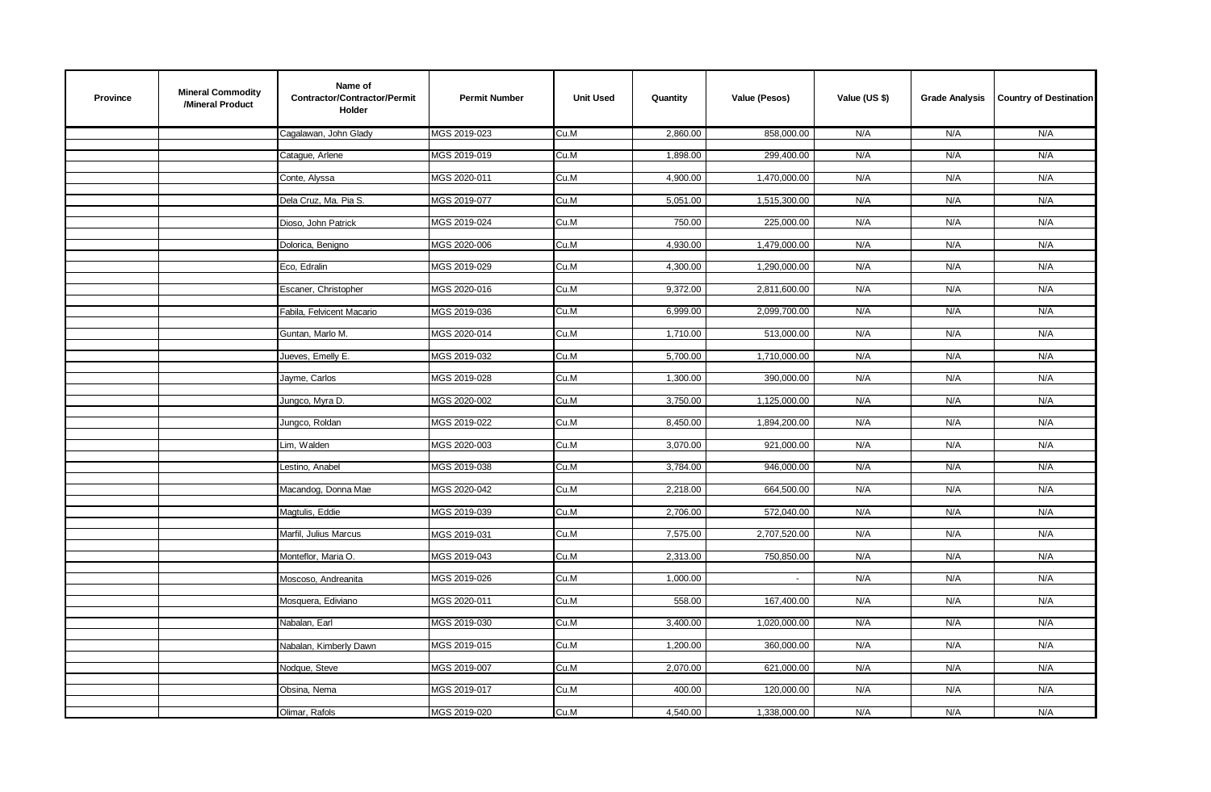| <b>Province</b> | <b>Mineral Commodity</b><br>/Mineral Product | Name of<br>Contractor/Contractor/Permit<br><b>Holder</b> | <b>Permit Number</b> | <b>Unit Used</b> | Quantity | Value (Pesos) | Value (US \$) | <b>Grade Analysis</b> | <b>Country of Destination</b> |
|-----------------|----------------------------------------------|----------------------------------------------------------|----------------------|------------------|----------|---------------|---------------|-----------------------|-------------------------------|
|                 |                                              | Cagalawan, John Glady                                    | MGS 2019-023         | Cu.M             | 2,860.00 | 858,000.00    | N/A           | N/A                   | N/A                           |
|                 |                                              | Cataque, Arlene                                          | MGS 2019-019         | Cu.M             | 1,898.00 | 299,400.00    | N/A           | N/A                   | N/A                           |
|                 |                                              |                                                          |                      |                  |          |               |               |                       |                               |
|                 |                                              | Conte, Alyssa                                            | MGS 2020-011         | Cu.M             | 4,900.00 | 1,470,000.00  | N/A           | N/A                   | N/A                           |
|                 |                                              | Dela Cruz, Ma. Pia S.                                    | MGS 2019-077         | Cu.M             | 5,051.00 | 1,515,300.00  | N/A           | N/A                   | N/A                           |
|                 |                                              | Dioso, John Patrick                                      | MGS 2019-024         | Cu.M             | 750.00   | 225,000.00    | N/A           | N/A                   | N/A                           |
|                 |                                              | Dolorica, Benigno                                        | MGS 2020-006         | Cu.M             | 4,930.00 | 1,479,000.00  | N/A           | N/A                   | N/A                           |
|                 |                                              |                                                          |                      |                  |          |               |               |                       |                               |
|                 |                                              | Eco, Edralin                                             | MGS 2019-029         | Cu.M             | 4,300.00 | 1,290,000.00  | N/A           | N/A                   | N/A                           |
|                 |                                              | Escaner, Christopher                                     | MGS 2020-016         | Cu.M             | 9,372.00 | 2,811,600.00  | N/A           | N/A                   | N/A                           |
|                 |                                              | Fabila, Felvicent Macario                                | MGS 2019-036         | Cu.M             | 6,999.00 | 2,099,700.00  | N/A           | N/A                   | N/A                           |
|                 |                                              | Guntan, Marlo M.                                         | MGS 2020-014         |                  |          |               | N/A           | N/A                   | N/A                           |
|                 |                                              |                                                          |                      | Cu.M             | 1,710.00 | 513,000.00    |               |                       |                               |
|                 |                                              | Jueves, Emelly E.                                        | MGS 2019-032         | Cu.M             | 5,700.00 | 1,710,000.00  | N/A           | N/A                   | N/A                           |
|                 |                                              | Jayme, Carlos                                            | MGS 2019-028         | Cu.M             | 1,300.00 | 390,000.00    | N/A           | N/A                   | N/A                           |
|                 |                                              | Jungco, Myra D.                                          | MGS 2020-002         | Cu.M             | 3,750.00 | 1,125,000.00  | N/A           | N/A                   | N/A                           |
|                 |                                              |                                                          |                      |                  |          |               |               |                       |                               |
|                 |                                              | Jungco, Roldan                                           | MGS 2019-022         | Cu.M             | 8,450.00 | 1,894,200.00  | N/A           | N/A                   | N/A                           |
|                 |                                              | Lim, Walden                                              | MGS 2020-003         | Cu.M             | 3,070.00 | 921,000.00    | N/A           | N/A                   | N/A                           |
|                 |                                              | Lestino, Anabel                                          | MGS 2019-038         | Cu.M             | 3,784.00 | 946,000.00    | N/A           | N/A                   | N/A                           |
|                 |                                              |                                                          |                      |                  |          |               |               |                       |                               |
|                 |                                              | Macandog, Donna Mae                                      | MGS 2020-042         | Cu.M             | 2,218.00 | 664,500.00    | N/A           | N/A                   | N/A                           |
|                 |                                              | Magtulis, Eddie                                          | MGS 2019-039         | Cu.M             | 2,706.00 | 572,040.00    | N/A           | N/A                   | N/A                           |
|                 |                                              | Marfil, Julius Marcus                                    | MGS 2019-031         | Cu.M             | 7,575.00 | 2,707,520.00  | N/A           | N/A                   | N/A                           |
|                 |                                              | Monteflor, Maria O.                                      | MGS 2019-043         | Cu.M             | 2,313.00 | 750,850.00    | N/A           | N/A                   | N/A                           |
|                 |                                              |                                                          |                      |                  |          |               |               |                       |                               |
|                 |                                              | Moscoso, Andreanita                                      | MGS 2019-026         | Cu.M             | 1,000.00 | $\sim$        | N/A           | N/A                   | N/A                           |
|                 |                                              | Mosquera, Ediviano                                       | MGS 2020-011         | Cu.M             | 558.00   | 167,400.00    | N/A           | N/A                   | N/A                           |
|                 |                                              | Nabalan, Earl                                            | MGS 2019-030         | Cu.M             | 3,400.00 | 1,020,000.00  | N/A           | N/A                   | N/A                           |
|                 |                                              |                                                          |                      |                  |          |               |               |                       |                               |
|                 |                                              | Nabalan, Kimberly Dawn                                   | MGS 2019-015         | Cu.M             | 1,200.00 | 360,000.00    | N/A           | N/A                   | N/A                           |
|                 |                                              | Nodque, Steve                                            | MGS 2019-007         | Cu.M             | 2,070.00 | 621,000.00    | N/A           | N/A                   | N/A                           |
|                 |                                              | Obsina, Nema                                             | MGS 2019-017         | Cu.M             | 400.00   | 120,000.00    | N/A           | N/A                   | N/A                           |
|                 |                                              | Olimar, Rafols                                           | MGS 2019-020         | Cu.M             | 4,540.00 | 1,338,000.00  | N/A           | N/A                   | N/A                           |
|                 |                                              |                                                          |                      |                  |          |               |               |                       |                               |